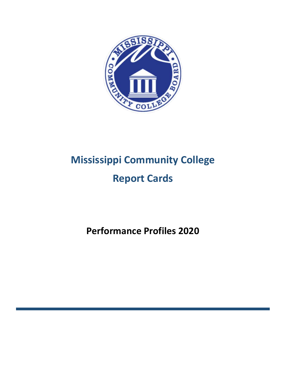

# **Mississippi Community College Report Cards**

**Performance Profiles 2020**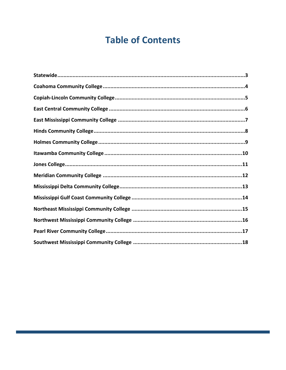## **Table of Contents**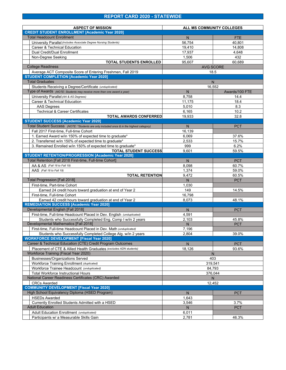### **REPORT CARD 2020 - STATEWIDE**

| <b>ASPECT OF MISSION</b>                                                                              | ALL MS COMMUNITY COLLEGES |                     |  |  |
|-------------------------------------------------------------------------------------------------------|---------------------------|---------------------|--|--|
| <b>CREDIT STUDENT ENROLLMENT [Academic Year 2020]</b>                                                 |                           |                     |  |  |
| <b>Total Headcount Enrollment</b>                                                                     | N                         | <b>FTE</b>          |  |  |
| University Parallel (includes Associate Degree Nursing Students)                                      | 56,754                    | 40,801              |  |  |
| Career & Technical Education                                                                          | 19,410                    | 14,808              |  |  |
| Dual Credit/Dual Enrollment                                                                           | 17,937                    | 4,648               |  |  |
| Non-Degree Seeking                                                                                    | 1,506                     | 432                 |  |  |
| <b>TOTAL STUDENTS ENROLLED</b>                                                                        | 95,607                    | 60,689              |  |  |
| <b>College Readiness</b>                                                                              |                           | <b>AVG SCORE</b>    |  |  |
| Average ACT Composite Score of Entering Freshmen, Fall 2019                                           |                           | 18.5                |  |  |
| <b>STUDENT COMPLETION [Academic Year 2020]</b>                                                        |                           |                     |  |  |
| <b>Total Graduates</b>                                                                                |                           | N                   |  |  |
| Students Receiving a Degree/Certificate (unduplicated)                                                |                           | 16,552              |  |  |
| Type of Awards (NOTE: Students may receive more than one award a year)                                | N                         | Awards/100 FTE      |  |  |
| University Parallel (AA & AS Degrees)                                                                 | 8,758                     | 14.4                |  |  |
| Career & Technical Education                                                                          | 11,175                    | 18.4                |  |  |
| <b>AAS Degrees</b>                                                                                    | 5,010                     | 8.3                 |  |  |
| <b>Technical &amp; Career Certificates</b>                                                            | 6,165                     | 10.2                |  |  |
| <b>TOTAL AWARDS CONFERRED</b>                                                                         | 19,933                    | 32.8                |  |  |
| <b>STUDENT SUCCESS [Academic Year 2020]</b>                                                           |                           |                     |  |  |
| Total Student Success (NOTE: *Students are only included once & in the highest category)              | N                         | <b>PCT</b>          |  |  |
| Fall 2017 First-time, Full-time Cohort                                                                | 16,139                    |                     |  |  |
| 1. Earned Award w/in 150% of expected time to graduate*                                               | 6,069                     | 37.6%               |  |  |
| 2. Transferred w/in 150% of expected time to graduate*                                                | 2,533                     | 15.7%               |  |  |
| 3. Remained Enrolled w/in 150% of expected time to graduate*                                          | 999                       | 6.2%                |  |  |
| <b>TOTAL STUDENT SUCCESS</b>                                                                          | 9,601                     | 59.5%               |  |  |
| STUDENT RETENTION/PROGRESSION [Academic Year 2020]                                                    |                           |                     |  |  |
| Total Retention [Fall 2018 First-time, Full-time Cohort]                                              | N                         | <b>PCT</b>          |  |  |
| AA & AS (Fall 18 to Fall 19)                                                                          | 8,098                     | 60.7%               |  |  |
| AAS (Fall 18 to Fall 19)                                                                              | 1,374                     | 59.0%               |  |  |
| <b>TOTAL RETENTION</b>                                                                                | 9,472                     | 60.5%               |  |  |
| <b>Total Progression [Fall 2018]</b>                                                                  | $\mathsf{N}$              | <b>PCT</b>          |  |  |
| First-time, Part-time Cohort                                                                          | 1,030                     |                     |  |  |
| Earned 24 credit hours toward graduation at end of Year 2                                             | 149                       | 14.5%               |  |  |
| First-time, Full-time Cohort                                                                          | 16,798                    |                     |  |  |
| Earned 42 credit hours toward graduation at end of Year 2                                             | 8,073                     | 48.1%               |  |  |
| <b>REMEDIATION SUCCESS [Academic Year 2020]</b>                                                       |                           |                     |  |  |
| Developmental English [Fall 2018]                                                                     | N                         | <b>PCT</b>          |  |  |
| First-time, Full-time Headcount Placed in Dev. English (unduplicated)                                 | 4,591<br>2,103            |                     |  |  |
| Students who Successfully Completed Eng. Comp I w/in 2 years<br>Developmental Mathematics [Fall 2018] | N                         | 45.8%<br><b>PCT</b> |  |  |
| First-time, Full-time Headcount Placed in Dev. Math (unduplicated)                                    | 7,196                     |                     |  |  |
| Students who Successfully Completed College Alg. w/in 2 years                                         | 2,804                     | 39.0%               |  |  |
| <b>WORKFORCE DEVELOPMENT [Fiscal Year 2020]</b>                                                       |                           |                     |  |  |
| Career & Technical Education (CTE) Credit Program Outcomes                                            | N                         | <b>PCT</b>          |  |  |
| Placement of CTE & Allied Health Graduates (excludes ADN students)                                    | 18,126                    | 93.6%               |  |  |
| Workforce Training (Fiscal Year 2020)                                                                 |                           | N                   |  |  |
| <b>Businesses/Organizations Served</b>                                                                |                           | 403                 |  |  |
| Workforce Training Enrollment (duplicated)                                                            |                           | 319,541             |  |  |
| Workforce Trainee Headcount (unduplicated)                                                            |                           | 84,793              |  |  |
| <b>Total Workforce Instructional Hours</b>                                                            |                           | 376,044             |  |  |
| National Career Readiness Certificates (CRC) Awarded                                                  |                           | N                   |  |  |
| <b>CRCs Awarded</b>                                                                                   |                           | 12,452              |  |  |
| <b>COMMUNITY DEVELOPMENT [Fiscal Year 2020]</b>                                                       |                           |                     |  |  |
| High School Equivalency Diploma (HSED Program)                                                        | N                         | <b>PCT</b>          |  |  |
| <b>HSEDs Awarded</b>                                                                                  | 1,643                     |                     |  |  |
| Currently Enrolled Students Admitted with a HSED                                                      | 3,546                     | $3.7\%$             |  |  |
| <b>Adult Education</b>                                                                                | ${\sf N}$                 | <b>PCT</b>          |  |  |
| Adult Education Enrollment (unduplicated)                                                             | 6,011                     |                     |  |  |
| Participants w/ a Measurable Skills Gain                                                              | 2,781                     | 46.3%               |  |  |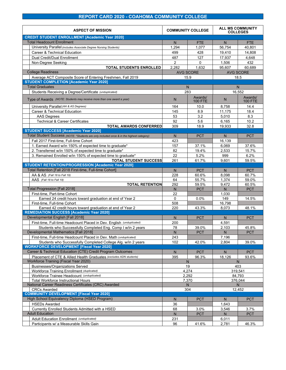### **REPORT CARD 2020 - COAHOMA COMMUNITY COLLEGE**

| <b>CREDIT STUDENT ENROLLMENT [Academic Year 2020]</b><br><b>Total Headcount Enrollment</b><br>N<br><b>FTE</b><br>N<br><b>FTE</b><br>University Parallel (includes Associate Degree Nursing Students)<br>1.294<br>1,077<br>56,754<br>40.801<br>Career & Technical Education<br>499<br>428<br>19,410<br>14,808<br>Dual Credit/Dual Enrollment<br>487<br>127<br>17,937<br>4,648<br>$\overline{2}$<br>$\Omega$<br>432<br>Non-Degree Seeking<br>1,506<br>2,282<br>1,632<br><b>TOTAL STUDENTS ENROLLED</b><br>95,607<br>60,689<br><b>College Readiness</b><br><b>AVG SCORE</b><br><b>AVG SCORE</b><br>Average ACT Composite Score of Entering Freshmen, Fall 2019<br>15.9<br>18.5<br><b>STUDENT COMPLETION [Academic Year 2020]</b><br><b>Total Graduates</b><br>N<br>N<br>Students Receiving a Degree/Certificate (unduplicated)<br>283<br>16.552<br>Awards/<br>Awards/<br>Type of Awards (NOTE: Students may receive more than one award a year)<br>N<br>N<br><b>100 FTE</b><br><b>100 FTE</b><br>University Parallel (AA & AS Degrees)<br>164<br>10.0<br>8,758<br>14.4<br>Career & Technical Education<br>145<br>8.9<br>11,175<br>18.4<br>53<br><b>AAS Degrees</b><br>3.2<br>5,010<br>8.3<br>92<br><b>Technical &amp; Career Certificates</b><br>5.6<br>6,165<br>10.2<br><b>TOTAL AWARDS CONFERRED</b><br>309<br>18.9<br>32.8<br>19,933<br><b>STUDENT SUCCESS [Academic Year 2020]</b><br>Total Student Success (NOTE: *Students are only included once & in the highest category)<br><b>PCT</b><br>N<br><b>PCT</b><br>N<br>423<br>Fall 2017 First-time, Full-time Cohort<br>16,139<br>1. Earned Award w/in 150% of expected time to graduate*<br>157<br>37.1%<br>6,069<br>37.6%<br>2. Transferred w/in 150% of expected time to graduate*<br>82<br>19.4%<br>2,533<br>15.7%<br>3. Remained Enrolled w/in 150% of expected time to graduate*<br>22<br>5.2%<br>6.2%<br>999<br><b>TOTAL STUDENT SUCCESS</b><br>261<br>59.5%<br>61.7%<br>9,601<br><b>STUDENT RETENTION/PROGRESSION [Academic Year 2020]</b><br>Total Retention [Fall 2018 First-time, Full-time Cohort]<br><b>PCT</b><br><b>PCT</b><br>N<br>N.<br>228<br>AA & AS (Fall 18 to Fall 19)<br>60.6%<br>8,098<br>60.7%<br>AAS (Fall 18 to Fall 19)<br>64<br>55.7%<br>1,374<br>59.0%<br><b>TOTAL RETENTION</b><br>292<br>59.5%<br>60.5%<br>9,472<br><b>Total Progression [Fall 2018]</b><br><b>PCT</b><br><b>PCT</b><br>N<br>N<br>First-time, Part-time Cohort<br>22<br>1,030<br>0.0%<br>14.5%<br>Earned 24 credit hours toward graduation at end of Year 2<br>0<br>149 | <b>ASPECT OF MISSION</b>     |     | <b>ALL MS COMMUNITY</b><br><b>COMMUNITY COLLEGE</b><br><b>COLLEGES</b> |        |  |
|---------------------------------------------------------------------------------------------------------------------------------------------------------------------------------------------------------------------------------------------------------------------------------------------------------------------------------------------------------------------------------------------------------------------------------------------------------------------------------------------------------------------------------------------------------------------------------------------------------------------------------------------------------------------------------------------------------------------------------------------------------------------------------------------------------------------------------------------------------------------------------------------------------------------------------------------------------------------------------------------------------------------------------------------------------------------------------------------------------------------------------------------------------------------------------------------------------------------------------------------------------------------------------------------------------------------------------------------------------------------------------------------------------------------------------------------------------------------------------------------------------------------------------------------------------------------------------------------------------------------------------------------------------------------------------------------------------------------------------------------------------------------------------------------------------------------------------------------------------------------------------------------------------------------------------------------------------------------------------------------------------------------------------------------------------------------------------------------------------------------------------------------------------------------------------------------------------------------------------------------------------------------------------------------------------------------------------------------------------------------------------------------------------------------------------------------------------------------------------------------------------------------------|------------------------------|-----|------------------------------------------------------------------------|--------|--|
|                                                                                                                                                                                                                                                                                                                                                                                                                                                                                                                                                                                                                                                                                                                                                                                                                                                                                                                                                                                                                                                                                                                                                                                                                                                                                                                                                                                                                                                                                                                                                                                                                                                                                                                                                                                                                                                                                                                                                                                                                                                                                                                                                                                                                                                                                                                                                                                                                                                                                                                           |                              |     |                                                                        |        |  |
|                                                                                                                                                                                                                                                                                                                                                                                                                                                                                                                                                                                                                                                                                                                                                                                                                                                                                                                                                                                                                                                                                                                                                                                                                                                                                                                                                                                                                                                                                                                                                                                                                                                                                                                                                                                                                                                                                                                                                                                                                                                                                                                                                                                                                                                                                                                                                                                                                                                                                                                           |                              |     |                                                                        |        |  |
|                                                                                                                                                                                                                                                                                                                                                                                                                                                                                                                                                                                                                                                                                                                                                                                                                                                                                                                                                                                                                                                                                                                                                                                                                                                                                                                                                                                                                                                                                                                                                                                                                                                                                                                                                                                                                                                                                                                                                                                                                                                                                                                                                                                                                                                                                                                                                                                                                                                                                                                           |                              |     |                                                                        |        |  |
|                                                                                                                                                                                                                                                                                                                                                                                                                                                                                                                                                                                                                                                                                                                                                                                                                                                                                                                                                                                                                                                                                                                                                                                                                                                                                                                                                                                                                                                                                                                                                                                                                                                                                                                                                                                                                                                                                                                                                                                                                                                                                                                                                                                                                                                                                                                                                                                                                                                                                                                           |                              |     |                                                                        |        |  |
|                                                                                                                                                                                                                                                                                                                                                                                                                                                                                                                                                                                                                                                                                                                                                                                                                                                                                                                                                                                                                                                                                                                                                                                                                                                                                                                                                                                                                                                                                                                                                                                                                                                                                                                                                                                                                                                                                                                                                                                                                                                                                                                                                                                                                                                                                                                                                                                                                                                                                                                           |                              |     |                                                                        |        |  |
|                                                                                                                                                                                                                                                                                                                                                                                                                                                                                                                                                                                                                                                                                                                                                                                                                                                                                                                                                                                                                                                                                                                                                                                                                                                                                                                                                                                                                                                                                                                                                                                                                                                                                                                                                                                                                                                                                                                                                                                                                                                                                                                                                                                                                                                                                                                                                                                                                                                                                                                           |                              |     |                                                                        |        |  |
|                                                                                                                                                                                                                                                                                                                                                                                                                                                                                                                                                                                                                                                                                                                                                                                                                                                                                                                                                                                                                                                                                                                                                                                                                                                                                                                                                                                                                                                                                                                                                                                                                                                                                                                                                                                                                                                                                                                                                                                                                                                                                                                                                                                                                                                                                                                                                                                                                                                                                                                           |                              |     |                                                                        |        |  |
|                                                                                                                                                                                                                                                                                                                                                                                                                                                                                                                                                                                                                                                                                                                                                                                                                                                                                                                                                                                                                                                                                                                                                                                                                                                                                                                                                                                                                                                                                                                                                                                                                                                                                                                                                                                                                                                                                                                                                                                                                                                                                                                                                                                                                                                                                                                                                                                                                                                                                                                           |                              |     |                                                                        |        |  |
|                                                                                                                                                                                                                                                                                                                                                                                                                                                                                                                                                                                                                                                                                                                                                                                                                                                                                                                                                                                                                                                                                                                                                                                                                                                                                                                                                                                                                                                                                                                                                                                                                                                                                                                                                                                                                                                                                                                                                                                                                                                                                                                                                                                                                                                                                                                                                                                                                                                                                                                           |                              |     |                                                                        |        |  |
|                                                                                                                                                                                                                                                                                                                                                                                                                                                                                                                                                                                                                                                                                                                                                                                                                                                                                                                                                                                                                                                                                                                                                                                                                                                                                                                                                                                                                                                                                                                                                                                                                                                                                                                                                                                                                                                                                                                                                                                                                                                                                                                                                                                                                                                                                                                                                                                                                                                                                                                           |                              |     |                                                                        |        |  |
|                                                                                                                                                                                                                                                                                                                                                                                                                                                                                                                                                                                                                                                                                                                                                                                                                                                                                                                                                                                                                                                                                                                                                                                                                                                                                                                                                                                                                                                                                                                                                                                                                                                                                                                                                                                                                                                                                                                                                                                                                                                                                                                                                                                                                                                                                                                                                                                                                                                                                                                           |                              |     |                                                                        |        |  |
|                                                                                                                                                                                                                                                                                                                                                                                                                                                                                                                                                                                                                                                                                                                                                                                                                                                                                                                                                                                                                                                                                                                                                                                                                                                                                                                                                                                                                                                                                                                                                                                                                                                                                                                                                                                                                                                                                                                                                                                                                                                                                                                                                                                                                                                                                                                                                                                                                                                                                                                           |                              |     |                                                                        |        |  |
|                                                                                                                                                                                                                                                                                                                                                                                                                                                                                                                                                                                                                                                                                                                                                                                                                                                                                                                                                                                                                                                                                                                                                                                                                                                                                                                                                                                                                                                                                                                                                                                                                                                                                                                                                                                                                                                                                                                                                                                                                                                                                                                                                                                                                                                                                                                                                                                                                                                                                                                           |                              |     |                                                                        |        |  |
|                                                                                                                                                                                                                                                                                                                                                                                                                                                                                                                                                                                                                                                                                                                                                                                                                                                                                                                                                                                                                                                                                                                                                                                                                                                                                                                                                                                                                                                                                                                                                                                                                                                                                                                                                                                                                                                                                                                                                                                                                                                                                                                                                                                                                                                                                                                                                                                                                                                                                                                           |                              |     |                                                                        |        |  |
|                                                                                                                                                                                                                                                                                                                                                                                                                                                                                                                                                                                                                                                                                                                                                                                                                                                                                                                                                                                                                                                                                                                                                                                                                                                                                                                                                                                                                                                                                                                                                                                                                                                                                                                                                                                                                                                                                                                                                                                                                                                                                                                                                                                                                                                                                                                                                                                                                                                                                                                           |                              |     |                                                                        |        |  |
|                                                                                                                                                                                                                                                                                                                                                                                                                                                                                                                                                                                                                                                                                                                                                                                                                                                                                                                                                                                                                                                                                                                                                                                                                                                                                                                                                                                                                                                                                                                                                                                                                                                                                                                                                                                                                                                                                                                                                                                                                                                                                                                                                                                                                                                                                                                                                                                                                                                                                                                           |                              |     |                                                                        |        |  |
|                                                                                                                                                                                                                                                                                                                                                                                                                                                                                                                                                                                                                                                                                                                                                                                                                                                                                                                                                                                                                                                                                                                                                                                                                                                                                                                                                                                                                                                                                                                                                                                                                                                                                                                                                                                                                                                                                                                                                                                                                                                                                                                                                                                                                                                                                                                                                                                                                                                                                                                           |                              |     |                                                                        |        |  |
|                                                                                                                                                                                                                                                                                                                                                                                                                                                                                                                                                                                                                                                                                                                                                                                                                                                                                                                                                                                                                                                                                                                                                                                                                                                                                                                                                                                                                                                                                                                                                                                                                                                                                                                                                                                                                                                                                                                                                                                                                                                                                                                                                                                                                                                                                                                                                                                                                                                                                                                           |                              |     |                                                                        |        |  |
|                                                                                                                                                                                                                                                                                                                                                                                                                                                                                                                                                                                                                                                                                                                                                                                                                                                                                                                                                                                                                                                                                                                                                                                                                                                                                                                                                                                                                                                                                                                                                                                                                                                                                                                                                                                                                                                                                                                                                                                                                                                                                                                                                                                                                                                                                                                                                                                                                                                                                                                           |                              |     |                                                                        |        |  |
|                                                                                                                                                                                                                                                                                                                                                                                                                                                                                                                                                                                                                                                                                                                                                                                                                                                                                                                                                                                                                                                                                                                                                                                                                                                                                                                                                                                                                                                                                                                                                                                                                                                                                                                                                                                                                                                                                                                                                                                                                                                                                                                                                                                                                                                                                                                                                                                                                                                                                                                           |                              |     |                                                                        |        |  |
|                                                                                                                                                                                                                                                                                                                                                                                                                                                                                                                                                                                                                                                                                                                                                                                                                                                                                                                                                                                                                                                                                                                                                                                                                                                                                                                                                                                                                                                                                                                                                                                                                                                                                                                                                                                                                                                                                                                                                                                                                                                                                                                                                                                                                                                                                                                                                                                                                                                                                                                           |                              |     |                                                                        |        |  |
|                                                                                                                                                                                                                                                                                                                                                                                                                                                                                                                                                                                                                                                                                                                                                                                                                                                                                                                                                                                                                                                                                                                                                                                                                                                                                                                                                                                                                                                                                                                                                                                                                                                                                                                                                                                                                                                                                                                                                                                                                                                                                                                                                                                                                                                                                                                                                                                                                                                                                                                           |                              |     |                                                                        |        |  |
|                                                                                                                                                                                                                                                                                                                                                                                                                                                                                                                                                                                                                                                                                                                                                                                                                                                                                                                                                                                                                                                                                                                                                                                                                                                                                                                                                                                                                                                                                                                                                                                                                                                                                                                                                                                                                                                                                                                                                                                                                                                                                                                                                                                                                                                                                                                                                                                                                                                                                                                           |                              |     |                                                                        |        |  |
|                                                                                                                                                                                                                                                                                                                                                                                                                                                                                                                                                                                                                                                                                                                                                                                                                                                                                                                                                                                                                                                                                                                                                                                                                                                                                                                                                                                                                                                                                                                                                                                                                                                                                                                                                                                                                                                                                                                                                                                                                                                                                                                                                                                                                                                                                                                                                                                                                                                                                                                           |                              |     |                                                                        |        |  |
|                                                                                                                                                                                                                                                                                                                                                                                                                                                                                                                                                                                                                                                                                                                                                                                                                                                                                                                                                                                                                                                                                                                                                                                                                                                                                                                                                                                                                                                                                                                                                                                                                                                                                                                                                                                                                                                                                                                                                                                                                                                                                                                                                                                                                                                                                                                                                                                                                                                                                                                           |                              |     |                                                                        |        |  |
|                                                                                                                                                                                                                                                                                                                                                                                                                                                                                                                                                                                                                                                                                                                                                                                                                                                                                                                                                                                                                                                                                                                                                                                                                                                                                                                                                                                                                                                                                                                                                                                                                                                                                                                                                                                                                                                                                                                                                                                                                                                                                                                                                                                                                                                                                                                                                                                                                                                                                                                           |                              |     |                                                                        |        |  |
|                                                                                                                                                                                                                                                                                                                                                                                                                                                                                                                                                                                                                                                                                                                                                                                                                                                                                                                                                                                                                                                                                                                                                                                                                                                                                                                                                                                                                                                                                                                                                                                                                                                                                                                                                                                                                                                                                                                                                                                                                                                                                                                                                                                                                                                                                                                                                                                                                                                                                                                           |                              |     |                                                                        |        |  |
|                                                                                                                                                                                                                                                                                                                                                                                                                                                                                                                                                                                                                                                                                                                                                                                                                                                                                                                                                                                                                                                                                                                                                                                                                                                                                                                                                                                                                                                                                                                                                                                                                                                                                                                                                                                                                                                                                                                                                                                                                                                                                                                                                                                                                                                                                                                                                                                                                                                                                                                           |                              |     |                                                                        |        |  |
|                                                                                                                                                                                                                                                                                                                                                                                                                                                                                                                                                                                                                                                                                                                                                                                                                                                                                                                                                                                                                                                                                                                                                                                                                                                                                                                                                                                                                                                                                                                                                                                                                                                                                                                                                                                                                                                                                                                                                                                                                                                                                                                                                                                                                                                                                                                                                                                                                                                                                                                           |                              |     |                                                                        |        |  |
|                                                                                                                                                                                                                                                                                                                                                                                                                                                                                                                                                                                                                                                                                                                                                                                                                                                                                                                                                                                                                                                                                                                                                                                                                                                                                                                                                                                                                                                                                                                                                                                                                                                                                                                                                                                                                                                                                                                                                                                                                                                                                                                                                                                                                                                                                                                                                                                                                                                                                                                           |                              |     |                                                                        |        |  |
|                                                                                                                                                                                                                                                                                                                                                                                                                                                                                                                                                                                                                                                                                                                                                                                                                                                                                                                                                                                                                                                                                                                                                                                                                                                                                                                                                                                                                                                                                                                                                                                                                                                                                                                                                                                                                                                                                                                                                                                                                                                                                                                                                                                                                                                                                                                                                                                                                                                                                                                           |                              |     |                                                                        |        |  |
|                                                                                                                                                                                                                                                                                                                                                                                                                                                                                                                                                                                                                                                                                                                                                                                                                                                                                                                                                                                                                                                                                                                                                                                                                                                                                                                                                                                                                                                                                                                                                                                                                                                                                                                                                                                                                                                                                                                                                                                                                                                                                                                                                                                                                                                                                                                                                                                                                                                                                                                           |                              |     |                                                                        |        |  |
|                                                                                                                                                                                                                                                                                                                                                                                                                                                                                                                                                                                                                                                                                                                                                                                                                                                                                                                                                                                                                                                                                                                                                                                                                                                                                                                                                                                                                                                                                                                                                                                                                                                                                                                                                                                                                                                                                                                                                                                                                                                                                                                                                                                                                                                                                                                                                                                                                                                                                                                           | First-time, Full-time Cohort | 508 |                                                                        | 16,798 |  |
| Earned 42 credit hours toward graduation at end of Year 2<br>220<br>43.3%<br>8,073<br>48.1%                                                                                                                                                                                                                                                                                                                                                                                                                                                                                                                                                                                                                                                                                                                                                                                                                                                                                                                                                                                                                                                                                                                                                                                                                                                                                                                                                                                                                                                                                                                                                                                                                                                                                                                                                                                                                                                                                                                                                                                                                                                                                                                                                                                                                                                                                                                                                                                                                               |                              |     |                                                                        |        |  |
| <b>REMEDIATION SUCCESS [Academic Year 2020]</b>                                                                                                                                                                                                                                                                                                                                                                                                                                                                                                                                                                                                                                                                                                                                                                                                                                                                                                                                                                                                                                                                                                                                                                                                                                                                                                                                                                                                                                                                                                                                                                                                                                                                                                                                                                                                                                                                                                                                                                                                                                                                                                                                                                                                                                                                                                                                                                                                                                                                           |                              |     |                                                                        |        |  |
| Developmental English [Fall 2018]<br>N<br><b>PCT</b><br><b>PCT</b><br>N.                                                                                                                                                                                                                                                                                                                                                                                                                                                                                                                                                                                                                                                                                                                                                                                                                                                                                                                                                                                                                                                                                                                                                                                                                                                                                                                                                                                                                                                                                                                                                                                                                                                                                                                                                                                                                                                                                                                                                                                                                                                                                                                                                                                                                                                                                                                                                                                                                                                  |                              |     |                                                                        |        |  |
| First-time, Full-time Headcount Placed in Dev. English (unduplicated)<br>200<br>4,591                                                                                                                                                                                                                                                                                                                                                                                                                                                                                                                                                                                                                                                                                                                                                                                                                                                                                                                                                                                                                                                                                                                                                                                                                                                                                                                                                                                                                                                                                                                                                                                                                                                                                                                                                                                                                                                                                                                                                                                                                                                                                                                                                                                                                                                                                                                                                                                                                                     |                              |     |                                                                        |        |  |
| Students who Successfully Completed Eng. Comp I w/in 2 years<br>78<br>39.0%<br>2,103<br>45.8%                                                                                                                                                                                                                                                                                                                                                                                                                                                                                                                                                                                                                                                                                                                                                                                                                                                                                                                                                                                                                                                                                                                                                                                                                                                                                                                                                                                                                                                                                                                                                                                                                                                                                                                                                                                                                                                                                                                                                                                                                                                                                                                                                                                                                                                                                                                                                                                                                             |                              |     |                                                                        |        |  |
| <b>Developmental Mathematics [Fall 2018]</b><br>${\sf N}$<br><b>PCT</b><br>N.<br><b>PCT</b>                                                                                                                                                                                                                                                                                                                                                                                                                                                                                                                                                                                                                                                                                                                                                                                                                                                                                                                                                                                                                                                                                                                                                                                                                                                                                                                                                                                                                                                                                                                                                                                                                                                                                                                                                                                                                                                                                                                                                                                                                                                                                                                                                                                                                                                                                                                                                                                                                               |                              |     |                                                                        |        |  |
| First-time, Full-time Headcount Placed in Dev. Math (unduplicated)<br>243<br>7,196                                                                                                                                                                                                                                                                                                                                                                                                                                                                                                                                                                                                                                                                                                                                                                                                                                                                                                                                                                                                                                                                                                                                                                                                                                                                                                                                                                                                                                                                                                                                                                                                                                                                                                                                                                                                                                                                                                                                                                                                                                                                                                                                                                                                                                                                                                                                                                                                                                        |                              |     |                                                                        |        |  |
| Students who Successfully Completed College Alg. w/in 2 years<br>102<br>2,804<br>42.0%<br>39.0%                                                                                                                                                                                                                                                                                                                                                                                                                                                                                                                                                                                                                                                                                                                                                                                                                                                                                                                                                                                                                                                                                                                                                                                                                                                                                                                                                                                                                                                                                                                                                                                                                                                                                                                                                                                                                                                                                                                                                                                                                                                                                                                                                                                                                                                                                                                                                                                                                           |                              |     |                                                                        |        |  |
| <b>WORKFORCE DEVELOPMENT [Fiscal Year 2020]</b>                                                                                                                                                                                                                                                                                                                                                                                                                                                                                                                                                                                                                                                                                                                                                                                                                                                                                                                                                                                                                                                                                                                                                                                                                                                                                                                                                                                                                                                                                                                                                                                                                                                                                                                                                                                                                                                                                                                                                                                                                                                                                                                                                                                                                                                                                                                                                                                                                                                                           |                              |     |                                                                        |        |  |
| Career & Technical Education (CTE) Credit Program Outcomes<br><b>PCT</b><br>N<br>PCT<br>N                                                                                                                                                                                                                                                                                                                                                                                                                                                                                                                                                                                                                                                                                                                                                                                                                                                                                                                                                                                                                                                                                                                                                                                                                                                                                                                                                                                                                                                                                                                                                                                                                                                                                                                                                                                                                                                                                                                                                                                                                                                                                                                                                                                                                                                                                                                                                                                                                                 |                              |     |                                                                        |        |  |
| Placement of CTE & Allied Health Graduates (excludes ADN students)<br>395<br>96.3%<br>18,126<br>93.6%<br>Workforce Training (Fiscal Year 2020)<br>N<br>N                                                                                                                                                                                                                                                                                                                                                                                                                                                                                                                                                                                                                                                                                                                                                                                                                                                                                                                                                                                                                                                                                                                                                                                                                                                                                                                                                                                                                                                                                                                                                                                                                                                                                                                                                                                                                                                                                                                                                                                                                                                                                                                                                                                                                                                                                                                                                                  |                              |     |                                                                        |        |  |
| <b>Businesses/Organizations Served</b><br>19<br>403                                                                                                                                                                                                                                                                                                                                                                                                                                                                                                                                                                                                                                                                                                                                                                                                                                                                                                                                                                                                                                                                                                                                                                                                                                                                                                                                                                                                                                                                                                                                                                                                                                                                                                                                                                                                                                                                                                                                                                                                                                                                                                                                                                                                                                                                                                                                                                                                                                                                       |                              |     |                                                                        |        |  |
| Workforce Training Enrollment (duplicated)<br>4,274<br>319,541                                                                                                                                                                                                                                                                                                                                                                                                                                                                                                                                                                                                                                                                                                                                                                                                                                                                                                                                                                                                                                                                                                                                                                                                                                                                                                                                                                                                                                                                                                                                                                                                                                                                                                                                                                                                                                                                                                                                                                                                                                                                                                                                                                                                                                                                                                                                                                                                                                                            |                              |     |                                                                        |        |  |
| Workforce Trainee Headcount (unduplicated)<br>2.292<br>84,793                                                                                                                                                                                                                                                                                                                                                                                                                                                                                                                                                                                                                                                                                                                                                                                                                                                                                                                                                                                                                                                                                                                                                                                                                                                                                                                                                                                                                                                                                                                                                                                                                                                                                                                                                                                                                                                                                                                                                                                                                                                                                                                                                                                                                                                                                                                                                                                                                                                             |                              |     |                                                                        |        |  |
| <b>Total Workforce Instructional Hours</b><br>7,370<br>376,044                                                                                                                                                                                                                                                                                                                                                                                                                                                                                                                                                                                                                                                                                                                                                                                                                                                                                                                                                                                                                                                                                                                                                                                                                                                                                                                                                                                                                                                                                                                                                                                                                                                                                                                                                                                                                                                                                                                                                                                                                                                                                                                                                                                                                                                                                                                                                                                                                                                            |                              |     |                                                                        |        |  |
| National Career Readiness Certificates (CRC) Awarded<br>N<br>N                                                                                                                                                                                                                                                                                                                                                                                                                                                                                                                                                                                                                                                                                                                                                                                                                                                                                                                                                                                                                                                                                                                                                                                                                                                                                                                                                                                                                                                                                                                                                                                                                                                                                                                                                                                                                                                                                                                                                                                                                                                                                                                                                                                                                                                                                                                                                                                                                                                            |                              |     |                                                                        |        |  |
| <b>CRCs Awarded</b><br>304<br>12,452<br><b>COMMUNITY DEVELOPMENT [Fiscal Year 2020]</b>                                                                                                                                                                                                                                                                                                                                                                                                                                                                                                                                                                                                                                                                                                                                                                                                                                                                                                                                                                                                                                                                                                                                                                                                                                                                                                                                                                                                                                                                                                                                                                                                                                                                                                                                                                                                                                                                                                                                                                                                                                                                                                                                                                                                                                                                                                                                                                                                                                   |                              |     |                                                                        |        |  |
| High School Equivalency Diploma (HSED Program)                                                                                                                                                                                                                                                                                                                                                                                                                                                                                                                                                                                                                                                                                                                                                                                                                                                                                                                                                                                                                                                                                                                                                                                                                                                                                                                                                                                                                                                                                                                                                                                                                                                                                                                                                                                                                                                                                                                                                                                                                                                                                                                                                                                                                                                                                                                                                                                                                                                                            |                              |     |                                                                        |        |  |
| <b>PCT</b><br><b>PCT</b><br>N<br>N<br><b>HSEDs Awarded</b><br>36                                                                                                                                                                                                                                                                                                                                                                                                                                                                                                                                                                                                                                                                                                                                                                                                                                                                                                                                                                                                                                                                                                                                                                                                                                                                                                                                                                                                                                                                                                                                                                                                                                                                                                                                                                                                                                                                                                                                                                                                                                                                                                                                                                                                                                                                                                                                                                                                                                                          |                              |     |                                                                        |        |  |
| 1,643<br>68<br>Currently Enrolled Students Admitted with a HSED<br>3.0%<br>3,546<br>3.7%                                                                                                                                                                                                                                                                                                                                                                                                                                                                                                                                                                                                                                                                                                                                                                                                                                                                                                                                                                                                                                                                                                                                                                                                                                                                                                                                                                                                                                                                                                                                                                                                                                                                                                                                                                                                                                                                                                                                                                                                                                                                                                                                                                                                                                                                                                                                                                                                                                  |                              |     |                                                                        |        |  |
| <b>Adult Education</b><br>$\mathsf{N}$<br><b>PCT</b><br>$\mathsf{N}$<br><b>PCT</b>                                                                                                                                                                                                                                                                                                                                                                                                                                                                                                                                                                                                                                                                                                                                                                                                                                                                                                                                                                                                                                                                                                                                                                                                                                                                                                                                                                                                                                                                                                                                                                                                                                                                                                                                                                                                                                                                                                                                                                                                                                                                                                                                                                                                                                                                                                                                                                                                                                        |                              |     |                                                                        |        |  |
| Adult Education Enrollment (unduplicated)<br>231<br>6,011                                                                                                                                                                                                                                                                                                                                                                                                                                                                                                                                                                                                                                                                                                                                                                                                                                                                                                                                                                                                                                                                                                                                                                                                                                                                                                                                                                                                                                                                                                                                                                                                                                                                                                                                                                                                                                                                                                                                                                                                                                                                                                                                                                                                                                                                                                                                                                                                                                                                 |                              |     |                                                                        |        |  |
| Participants w/ a Measurable Skills Gain<br>96<br>41.6%<br>2,781<br>46.3%                                                                                                                                                                                                                                                                                                                                                                                                                                                                                                                                                                                                                                                                                                                                                                                                                                                                                                                                                                                                                                                                                                                                                                                                                                                                                                                                                                                                                                                                                                                                                                                                                                                                                                                                                                                                                                                                                                                                                                                                                                                                                                                                                                                                                                                                                                                                                                                                                                                 |                              |     |                                                                        |        |  |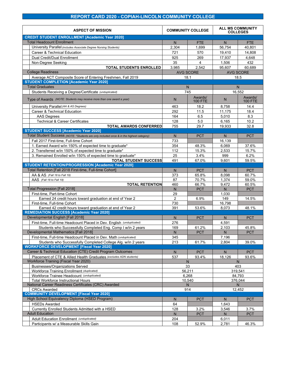### **REPORT CARD 2020 - COPIAH-LINCOLN COMMUNITY COLLEGE**

| <b>ASPECT OF MISSION</b>                                                                                    |                | <b>COMMUNITY COLLEGE</b>  | <b>ALL MS COMMUNITY</b><br><b>COLLEGES</b> |                           |
|-------------------------------------------------------------------------------------------------------------|----------------|---------------------------|--------------------------------------------|---------------------------|
| <b>CREDIT STUDENT ENROLLMENT [Academic Year 2020]</b>                                                       |                |                           |                                            |                           |
| <b>Total Headcount Enrollment</b>                                                                           | N              | <b>FTE</b>                | N                                          | <b>FTE</b>                |
| University Parallel (includes Associate Degree Nursing Students)                                            | 2,304          | 1,699                     | 56,754                                     | 40.801                    |
| Career & Technical Education                                                                                | 721            | 570                       | 19,410                                     | 14,808                    |
| Dual Credit/Dual Enrollment                                                                                 | 925            | 269                       | 17,937                                     | 4,648                     |
| Non-Degree Seeking                                                                                          | 35             | $\overline{4}$            | 1,506                                      | 432                       |
| <b>TOTAL STUDENTS ENROLLED</b>                                                                              | 3,985          | 2.542                     | 95,607                                     | 60,689                    |
| <b>College Readiness</b>                                                                                    |                | <b>AVG SCORE</b>          |                                            | <b>AVG SCORE</b>          |
| Average ACT Composite Score of Entering Freshmen, Fall 2019                                                 |                | 18.1                      |                                            | 18.5                      |
| <b>STUDENT COMPLETION [Academic Year 2020]</b>                                                              |                |                           |                                            |                           |
| <b>Total Graduates</b>                                                                                      |                | $\mathsf{N}$              |                                            | N                         |
| Students Receiving a Degree/Certificate (unduplicated)                                                      |                | 745                       |                                            | 16.552                    |
| Type of Awards (NOTE: Students may receive more than one award a year)                                      | N              | Awards/<br><b>100 FTE</b> | N                                          | Awards/<br><b>100 FTE</b> |
| University Parallel (AA & AS Degrees)                                                                       | 463            | 18.2                      | 8,758                                      | 14.4                      |
| Career & Technical Education                                                                                | 292            | 11.5                      | 11,175                                     | 18.4                      |
| <b>AAS Degrees</b>                                                                                          | 164            | 6.5                       | 5,010                                      | 8.3                       |
| <b>Technical &amp; Career Certificates</b>                                                                  | 128            | 5.0                       | 6,165                                      | 10.2                      |
| <b>TOTAL AWARDS CONFERRED</b>                                                                               | 755            | 29.7                      | 19,933                                     | 32.8                      |
| <b>STUDENT SUCCESS [Academic Year 2020]</b>                                                                 |                |                           |                                            |                           |
| Total Student Success (NOTE: *Students are only included once & in the highest category)                    | N              | <b>PCT</b>                | N                                          | <b>PCT</b>                |
| Fall 2017 First-time, Full-time Cohort                                                                      | 733            |                           | 16,139                                     |                           |
| 1. Earned Award w/in 150% of expected time to graduate*                                                     | 354            | 48.3%                     | 6,069                                      | 37.6%                     |
| 2. Transferred w/in 150% of expected time to graduate*                                                      | 112            | 15.3%                     | 2,533                                      | 15.7%                     |
| 3. Remained Enrolled w/in 150% of expected time to graduate*                                                | 25             | 3.4%                      | 999                                        | 6.2%                      |
| <b>TOTAL STUDENT SUCCESS</b><br><b>STUDENT RETENTION/PROGRESSION [Academic Year 2020]</b>                   | 491            | 67.0%                     | 9,601                                      | 59.5%                     |
| Total Retention [Fall 2018 First-time, Full-time Cohort]                                                    |                |                           |                                            |                           |
|                                                                                                             | N<br>373       | <b>PCT</b><br>65.8%       | N.                                         | <b>PCT</b>                |
| AA & AS (Fall 18 to Fall 19)<br>AAS (Fall 18 to Fall 19)                                                    | 87             | 70.7%                     | 8,098<br>1,374                             | 60.7%<br>59.0%            |
| <b>TOTAL RETENTION</b>                                                                                      | 460            | 66.7%                     | 9,472                                      | 60.5%                     |
| <b>Total Progression [Fall 2018]</b>                                                                        | N              | <b>PCT</b>                | N                                          | <b>PCT</b>                |
| First-time, Part-time Cohort                                                                                | 29             |                           | 1,030                                      |                           |
| Earned 24 credit hours toward graduation at end of Year 2                                                   | $\overline{2}$ | 6.9%                      | 149                                        | 14.5%                     |
| First-time, Full-time Cohort                                                                                | 730            |                           | 16,798                                     |                           |
| Earned 42 credit hours toward graduation at end of Year 2                                                   | 391            | 53.6%                     | 8,073                                      | 48.1%                     |
| <b>REMEDIATION SUCCESS [Academic Year 2020]</b>                                                             |                |                           |                                            |                           |
| Developmental English [Fall 2018]                                                                           | N              | <b>PCT</b>                | N.                                         | <b>PCT</b>                |
| First-time, Full-time Headcount Placed in Dev. English (unduplicated)                                       | 276            |                           | 4,591                                      |                           |
| Students who Successfully Completed Eng. Comp I w/in 2 years                                                | 169            | 61.2%                     | 2,103                                      | 45.8%                     |
| <b>Developmental Mathematics [Fall 2018]</b>                                                                | $\mathsf{N}$   | <b>PCT</b>                | N                                          | <b>PCT</b>                |
| First-time, Full-time Headcount Placed in Dev. Math (unduplicated)                                          | 345            |                           | 7,196                                      |                           |
| Students who Successfully Completed College Alg. w/in 2 years                                               | 213            | 61.7%                     | 2,804                                      | 39.0%                     |
| <b>WORKFORCE DEVELOPMENT [Fiscal Year 2020]</b>                                                             |                |                           |                                            |                           |
| Career & Technical Education (CTE) Credit Program Outcomes                                                  | N              | PCT                       | N                                          | <b>PCT</b>                |
| Placement of CTE & Allied Health Graduates (excludes ADN students)<br>Workforce Training (Fiscal Year 2020) | 537            | 93.4%<br>N                | 18,126                                     | 93.6%<br>N                |
| <b>Businesses/Organizations Served</b>                                                                      |                | 33                        |                                            | 403                       |
| Workforce Training Enrollment (duplicated)                                                                  |                | 56,211                    |                                            | 319,541                   |
| Workforce Trainee Headcount (unduplicated)                                                                  |                | 6,268                     |                                            | 84,793                    |
| <b>Total Workforce Instructional Hours</b>                                                                  |                | 10,540                    |                                            | 376,044                   |
| National Career Readiness Certificates (CRC) Awarded<br><b>CRCs Awarded</b>                                 |                | N                         |                                            | N                         |
| <b>COMMUNITY DEVELOPMENT [Fiscal Year 2020]</b>                                                             |                | 914                       |                                            | 12,452                    |
| High School Equivalency Diploma (HSED Program)                                                              | N              | <b>PCT</b>                | N                                          | <b>PCT</b>                |
| <b>HSEDs Awarded</b>                                                                                        | 64             |                           | 1,643                                      |                           |
| Currently Enrolled Students Admitted with a HSED                                                            | 128            | 3.2%                      | 3,546                                      | 3.7%                      |
| <b>Adult Education</b>                                                                                      | $\mathsf{N}$   | <b>PCT</b>                | $\mathsf{N}$                               | <b>PCT</b>                |
| Adult Education Enrollment (unduplicated)                                                                   | 204            |                           | 6,011                                      |                           |
| Participants w/ a Measurable Skills Gain                                                                    | 108            | 52.9%                     | 2,781                                      | 46.3%                     |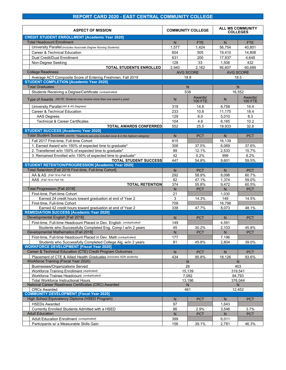### **REPORT CARD 2020 - EAST CENTRAL COMMUNITY COLLEGE**

| <b>ASPECT OF MISSION</b>                                                                                    | <b>COMMUNITY COLLEGE</b> |                           | <b>ALL MS COMMUNITY</b><br><b>COLLEGES</b> |                           |
|-------------------------------------------------------------------------------------------------------------|--------------------------|---------------------------|--------------------------------------------|---------------------------|
| <b>CREDIT STUDENT ENROLLMENT [Academic Year 2020]</b>                                                       |                          |                           |                                            |                           |
| <b>Total Headcount Enrollment</b>                                                                           | N                        | <b>FTE</b>                | N                                          | <b>FTE</b>                |
| University Parallel (includes Associate Degree Nursing Students)                                            | 1.577                    | 1,424                     | 56,754                                     | 40.801                    |
| Career & Technical Education                                                                                | 604                      | 505                       | 19,410                                     | 14,808                    |
| Dual Credit/Dual Enrollment                                                                                 | 631                      | 200                       | 17,937                                     | 4,648                     |
| Non-Degree Seeking                                                                                          | 128                      | 33                        | 1,506                                      | 432                       |
| <b>TOTAL STUDENTS ENROLLED</b>                                                                              | 2,940                    | 2,162                     | 95,607                                     | 60,689                    |
| <b>College Readiness</b>                                                                                    |                          | <b>AVG SCORE</b>          |                                            | <b>AVG SCORE</b>          |
| Average ACT Composite Score of Entering Freshmen, Fall 2019                                                 |                          | 18.8                      |                                            | 18.5                      |
| <b>STUDENT COMPLETION [Academic Year 2020]</b>                                                              |                          |                           |                                            |                           |
| <b>Total Graduates</b>                                                                                      |                          | N                         |                                            | N                         |
| Students Receiving a Degree/Certificate (unduplicated)                                                      |                          | 538                       |                                            | 16.552                    |
| Type of Awards (NOTE: Students may receive more than one award a year)                                      | N                        | Awards/<br><b>100 FTE</b> | N                                          | Awards/<br><b>100 FTE</b> |
| University Parallel (AA & AS Degrees)                                                                       | 319                      | 14.8                      | 8,758                                      | 14.4                      |
| Career & Technical Education                                                                                | 233                      | 10.8                      | 11,175                                     | 18.4                      |
| <b>AAS Degrees</b>                                                                                          | 129                      | 6.0                       | 5,010                                      | 8.3                       |
| <b>Technical &amp; Career Certificates</b>                                                                  | 104                      | 4.8                       | 6,165                                      | 10.2                      |
| <b>TOTAL AWARDS CONFERRED</b>                                                                               | 552                      | 25.5                      | 19,933                                     | 32.8                      |
| <b>STUDENT SUCCESS [Academic Year 2020]</b>                                                                 |                          |                           |                                            |                           |
| Total Student Success (NOTE: *Students are only included once & in the highest category)                    | N                        | <b>PCT</b>                | N                                          | <b>PCT</b>                |
| Fall 2017 First-time, Full-time Cohort                                                                      | 815                      |                           | 16,139                                     |                           |
| 1. Earned Award w/in 150% of expected time to graduate*                                                     | 306                      | 37.5%                     | 6,069                                      | 37.6%                     |
| 2. Transferred w/in 150% of expected time to graduate*                                                      | 99                       | 12.1%                     | 2,533                                      | 15.7%                     |
| 3. Remained Enrolled w/in 150% of expected time to graduate*                                                | 42                       | 5.2%                      | 999                                        | 6.2%                      |
| <b>TOTAL STUDENT SUCCESS</b>                                                                                | 447                      | 54.8%                     | 9,601                                      | 59.5%                     |
| <b>STUDENT RETENTION/PROGRESSION [Academic Year 2020]</b>                                                   |                          |                           |                                            |                           |
| Total Retention [Fall 2018 First-time, Full-time Cohort]                                                    | N                        | <b>PCT</b>                | N.                                         | <b>PCT</b>                |
| AA & AS (Fall 18 to Fall 19)                                                                                | 292                      | 58.9%                     | 8,098                                      | 60.7%                     |
| AAS (Fall 18 to Fall 19)<br><b>TOTAL RETENTION</b>                                                          | 82<br>374                | 47.1%<br>55.8%            | 1,374                                      | 59.0%<br>60.5%            |
| <b>Total Progression [Fall 2018]</b>                                                                        | N                        | <b>PCT</b>                | 9,472<br>N                                 | <b>PCT</b>                |
| First-time, Part-time Cohort                                                                                | 21                       |                           | 1,030                                      |                           |
| Earned 24 credit hours toward graduation at end of Year 2                                                   | 3                        | 14.3%                     | 149                                        | 14.5%                     |
| First-time, Full-time Cohort                                                                                | 709                      |                           | 16,798                                     |                           |
| Earned 42 credit hours toward graduation at end of Year 2                                                   | 338                      | 47.7%                     | 8,073                                      | 48.1%                     |
| <b>REMEDIATION SUCCESS [Academic Year 2020]</b>                                                             |                          |                           |                                            |                           |
| Developmental English [Fall 2018]                                                                           | N                        | <b>PCT</b>                | N.                                         | <b>PCT</b>                |
| First-time, Full-time Headcount Placed in Dev. English (unduplicated)                                       | 149                      |                           | 4,591                                      |                           |
| Students who Successfully Completed Eng. Comp I w/in 2 years                                                | 45                       | 30.2%                     | 2,103                                      | 45.8%                     |
| <b>Developmental Mathematics [Fall 2018]</b>                                                                | ${\sf N}$                | <b>PCT</b>                | N.                                         | <b>PCT</b>                |
| First-time, Full-time Headcount Placed in Dev. Math (unduplicated)                                          | 177                      |                           | 7,196                                      |                           |
| Students who Successfully Completed College Alg. w/in 2 years                                               | 81                       | 45.8%                     | 2,804                                      | 39.0%                     |
| <b>WORKFORCE DEVELOPMENT [Fiscal Year 2020]</b>                                                             |                          |                           |                                            |                           |
| Career & Technical Education (CTE) Credit Program Outcomes                                                  | N                        | PCT                       | N                                          | <b>PCT</b>                |
| Placement of CTE & Allied Health Graduates (excludes ADN students)<br>Workforce Training (Fiscal Year 2020) | 434                      | 95.8%<br>N                | 18,126                                     | 93.6%<br>N                |
| <b>Businesses/Organizations Served</b>                                                                      |                          | 26                        |                                            | 403                       |
| Workforce Training Enrollment (duplicated)                                                                  |                          | 15,139                    |                                            | 319,541                   |
| Workforce Trainee Headcount (unduplicated)                                                                  |                          | 7,092                     |                                            | 84,793                    |
| <b>Total Workforce Instructional Hours</b>                                                                  |                          | 13,196                    |                                            | 376,044                   |
| National Career Readiness Certificates (CRC) Awarded                                                        |                          | N                         |                                            | N                         |
| <b>CRCs Awarded</b><br><b>COMMUNITY DEVELOPMENT [Fiscal Year 2020]</b>                                      |                          | 461                       |                                            | 12,452                    |
| High School Equivalency Diploma (HSED Program)                                                              |                          |                           |                                            |                           |
|                                                                                                             | N                        | <b>PCT</b>                | N                                          | <b>PCT</b>                |
| <b>HSEDs Awarded</b>                                                                                        | 97                       |                           | 1,643                                      |                           |
| Currently Enrolled Students Admitted with a HSED<br><b>Adult Education</b>                                  | 86                       | 2.9%                      | 3,546                                      | 3.7%                      |
|                                                                                                             | $\mathsf{N}$             | <b>PCT</b>                | $\mathsf{N}$                               | <b>PCT</b>                |
| Adult Education Enrollment (unduplicated)                                                                   | 399                      |                           | 6,011                                      |                           |
| Participants w/ a Measurable Skills Gain                                                                    | 156                      | 39.1%                     | 2,781                                      | 46.3%                     |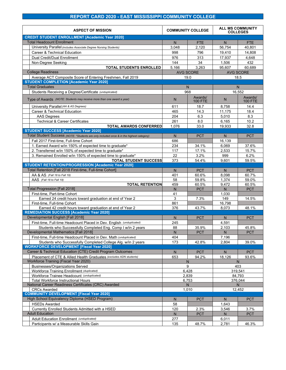### **REPORT CARD 2020 - EAST MISSISSIPPI COMMUNITY COLLEGE**

| <b>ASPECT OF MISSION</b>                                                                 | <b>COMMUNITY COLLEGE</b> |                | <b>ALL MS COMMUNITY</b><br><b>COLLEGES</b> |                  |
|------------------------------------------------------------------------------------------|--------------------------|----------------|--------------------------------------------|------------------|
| <b>CREDIT STUDENT ENROLLMENT [Academic Year 2020]</b>                                    |                          |                |                                            |                  |
| <b>Total Headcount Enrollment</b>                                                        | N                        | <b>FTE</b>     | N                                          | <b>FTE</b>       |
| University Parallel (includes Associate Degree Nursing Students)                         | 3.048                    | 2,120          | 56,754                                     | 40.801           |
| Career & Technical Education                                                             | 998                      | 796            | 19,410                                     | 14,808           |
| Dual Credit/Dual Enrollment                                                              | 976                      | 313            | 17,937                                     | 4,648            |
| Non-Degree Seeking                                                                       | 144                      | 34             | 1,506                                      | 432              |
| <b>TOTAL STUDENTS ENROLLED</b>                                                           | 5,166                    | 3,263          | 95,607                                     | 60,689           |
| <b>College Readiness</b>                                                                 | <b>AVG SCORE</b>         |                |                                            | <b>AVG SCORE</b> |
| Average ACT Composite Score of Entering Freshmen, Fall 2019                              |                          | 19.0           |                                            | 18.5             |
| <b>STUDENT COMPLETION [Academic Year 2020]</b>                                           |                          |                |                                            |                  |
| <b>Total Graduates</b>                                                                   | $\mathsf{N}$             |                |                                            | N                |
| Students Receiving a Degree/Certificate (unduplicated)                                   |                          | 968            |                                            | 16,552           |
|                                                                                          |                          | Awards/        |                                            | Awards/          |
| Type of Awards (NOTE: Students may receive more than one award a year)                   | N                        | <b>100 FTE</b> | N                                          | <b>100 FTE</b>   |
| University Parallel (AA & AS Degrees)                                                    | 611                      | 18.7           | 8,758                                      | 14.4             |
| Career & Technical Education                                                             | 465                      | 14.3           | 11,175                                     | 18.4             |
| <b>AAS Degrees</b>                                                                       | 204                      | 6.3            | 5,010                                      | 8.3              |
| <b>Technical &amp; Career Certificates</b>                                               | 261                      | 8.0            | 6,165                                      | 10.2             |
| <b>TOTAL AWARDS CONFERRED</b>                                                            | 1,076                    | 33.0           | 19.933                                     | 32.8             |
| <b>STUDENT SUCCESS [Academic Year 2020]</b>                                              |                          |                |                                            |                  |
| Total Student Success (NOTE: *Students are only included once & in the highest category) | N                        | <b>PCT</b>     | N                                          | <b>PCT</b>       |
| Fall 2017 First-time, Full-time Cohort                                                   | 686                      |                | 16,139                                     |                  |
| 1. Earned Award w/in 150% of expected time to graduate*                                  | 234                      | 34.1%          | 6,069                                      | 37.6%            |
| 2. Transferred w/in 150% of expected time to graduate*                                   | 117                      | 17.1%          | 2,533                                      | 15.7%            |
| 3. Remained Enrolled w/in 150% of expected time to graduate*                             | 22                       | 3.2%           | 999                                        | 6.2%             |
| <b>TOTAL STUDENT SUCCESS</b>                                                             | 373                      | 54.4%          | 9,601                                      | 59.5%            |
| <b>STUDENT RETENTION/PROGRESSION [Academic Year 2020]</b>                                |                          |                |                                            |                  |
| Total Retention [Fall 2018 First-time, Full-time Cohort]                                 | N                        | <b>PCT</b>     | N.                                         | <b>PCT</b>       |
| AA & AS (Fall 18 to Fall 19)                                                             | 401                      | 60.6%          | 8.098                                      | 60.7%            |
| AAS (Fall 18 to Fall 19)                                                                 | 58                       | 59.8%          | 1,374                                      | 59.0%            |
| <b>TOTAL RETENTION</b>                                                                   | 459                      | 60.5%          | 9,472                                      | 60.5%            |
| <b>Total Progression [Fall 2018]</b>                                                     | N                        | <b>PCT</b>     | N.                                         | <b>PCT</b>       |
| First-time, Part-time Cohort                                                             | 41                       |                | 1,030                                      |                  |
| Earned 24 credit hours toward graduation at end of Year 2                                | 3                        | 7.3%           | 149                                        | 14.5%            |
| First-time, Full-time Cohort                                                             | 861                      |                | 16,798                                     |                  |
| Earned 42 credit hours toward graduation at end of Year 2                                | 376                      | 43.7%          | 8,073                                      | 48.1%            |
| <b>REMEDIATION SUCCESS [Academic Year 2020]</b>                                          |                          |                |                                            |                  |
| Developmental English [Fall 2018]                                                        | N                        | <b>PCT</b>     | N.                                         | <b>PCT</b>       |
| First-time, Full-time Headcount Placed in Dev. English (unduplicated)                    | 245                      |                | 4.591                                      |                  |
| Students who Successfully Completed Eng. Comp I w/in 2 years                             | 88                       | 35.9%          | 2,103                                      | 45.8%            |
| Developmental Mathematics [Fall 2018]                                                    | N.                       | <b>PCT</b>     | N.                                         | <b>PCT</b>       |
| First-time, Full-time Headcount Placed in Dev. Math (unduplicated)                       | 404                      |                | 7,196                                      |                  |
| Students who Successfully Completed College Alg. w/in 2 years                            | 173                      | 42.8%          | 2,804                                      | 39.0%            |
| <b>WORKFORCE DEVELOPMENT [Fiscal Year 2020]</b>                                          |                          |                |                                            |                  |
| Career & Technical Education (CTE) Credit Program Outcomes                               | N                        | PCT            | N.                                         | <b>PCT</b>       |
| Placement of CTE & Allied Health Graduates (excludes ADN students)                       | 653                      | 94.2%          | 18,126                                     | 93.6%            |
| Workforce Training (Fiscal Year 2020)                                                    |                          | N              |                                            | N                |
| <b>Businesses/Organizations Served</b>                                                   |                          | 9              |                                            | 403              |
| Workforce Training Enrollment (duplicated)                                               |                          | 6,428          |                                            | 319,541          |
| Workforce Trainee Headcount (unduplicated)                                               |                          | 2,839          |                                            | 84.793           |
| <b>Total Workforce Instructional Hours</b>                                               |                          | 6,753          |                                            | 376,044          |
| National Career Readiness Certificates (CRC) Awarded                                     |                          | N              |                                            | N                |
| <b>CRCs Awarded</b>                                                                      |                          | 1,010          |                                            | 12,452           |
| <b>COMMUNITY DEVELOPMENT [Fiscal Year 2020]</b>                                          |                          |                |                                            |                  |
| High School Equivalency Diploma (HSED Program)                                           | N                        | <b>PCT</b>     | N                                          | <b>PCT</b>       |
| <b>HSEDs Awarded</b>                                                                     | 58                       |                | 1,643                                      |                  |
| Currently Enrolled Students Admitted with a HSED                                         | 120                      | 2.3%           | 3,546                                      | 3.7%             |
| <b>Adult Education</b>                                                                   | N                        | <b>PCT</b>     | N                                          | <b>PCT</b>       |
| Adult Education Enrollment (unduplicated)                                                | 277                      |                | 6,011                                      |                  |
| Participants w/ a Measurable Skills Gain                                                 | 135                      | 48.7%          | 2,781                                      | 46.3%            |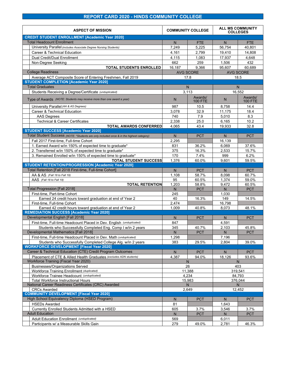### **REPORT CARD 2020 - HINDS COMMUNITY COLLEGE**

| <b>ASPECT OF MISSION</b>                                                                                                              | <b>COMMUNITY COLLEGE</b> |                           | <b>ALL MS COMMUNITY</b><br><b>COLLEGES</b> |                           |
|---------------------------------------------------------------------------------------------------------------------------------------|--------------------------|---------------------------|--------------------------------------------|---------------------------|
| <b>CREDIT STUDENT ENROLLMENT [Academic Year 2020]</b>                                                                                 |                          |                           |                                            |                           |
| <b>Total Headcount Enrollment</b>                                                                                                     | N                        | FTE                       | N                                          | <b>FTE</b>                |
| University Parallel (includes Associate Degree Nursing Students)                                                                      | 7,249                    | 5,225                     | 56,754                                     | 40,801                    |
| Career & Technical Education                                                                                                          | 4,161                    | 2,799                     | 19,410                                     | 14,808                    |
| Dual Credit/Dual Enrollment                                                                                                           | 4,115                    | 1,083                     | 17,937                                     | 4,648                     |
| Non-Degree Seeking                                                                                                                    | 662                      | 259                       | 1,506                                      | 432                       |
| <b>TOTAL STUDENTS ENROLLED</b>                                                                                                        | 16,187                   | 9,366                     | 95,607                                     | 60,689                    |
| <b>College Readiness</b>                                                                                                              |                          | <b>AVG SCORE</b>          | <b>AVG SCORE</b>                           |                           |
| Average ACT Composite Score of Entering Freshmen, Fall 2019                                                                           |                          | 17.8                      |                                            | 18.5                      |
| <b>STUDENT COMPLETION [Academic Year 2020]</b>                                                                                        |                          |                           |                                            |                           |
| <b>Total Graduates</b>                                                                                                                |                          | N.                        |                                            | N.                        |
| Students Receiving a Degree/Certificate (unduplicated)                                                                                |                          | 3,113                     | 16,552                                     |                           |
| Type of Awards (NOTE: Students may receive more than one award a year)                                                                | N                        | Awards/<br><b>100 FTE</b> | N                                          | Awards/<br><b>100 FTE</b> |
| University Parallel (AA & AS Degrees)                                                                                                 | 987                      | 10.5                      | 8,758                                      | 14.4                      |
| <b>Career &amp; Technical Education</b>                                                                                               | 3,078                    | 32.9                      | 11,175                                     | 18.4                      |
| <b>AAS Degrees</b>                                                                                                                    | 740                      | 7.9                       | 5,010                                      | 8.3                       |
| <b>Technical &amp; Career Certificates</b>                                                                                            | 2,338                    | 25.0                      | 6,165                                      | 10.2                      |
| <b>TOTAL AWARDS CONFERRED</b>                                                                                                         | 4,065                    | 43.4                      | 19.933                                     | 32.8                      |
| <b>STUDENT SUCCESS [Academic Year 2020]</b>                                                                                           |                          |                           |                                            |                           |
| Total Student Success (NOTE: *Students are only included once & in the highest category)                                              | N                        | <b>PCT</b>                | N.                                         | <b>PCT</b>                |
| Fall 2017 First-time, Full-time Cohort                                                                                                | 2,295                    |                           | 16.139                                     |                           |
| 1. Earned Award w/in 150% of expected time to graduate*                                                                               | 831                      | 36.2%                     | 6,069                                      | 37.6%                     |
| 2. Transferred w/in 150% of expected time to graduate*                                                                                | 375                      | 16.3%                     | 2,533                                      | 15.7%                     |
| 3. Remained Enrolled w/in 150% of expected time to graduate*                                                                          | 170                      | 7.4%                      | 999                                        | 6.2%                      |
| <b>TOTAL STUDENT SUCCESS</b>                                                                                                          | 1,376                    | 60.0%                     | 9,601                                      | 59.5%                     |
| <b>STUDENT RETENTION/PROGRESSION [Academic Year 2020]</b>                                                                             |                          |                           |                                            |                           |
| Total Retention [Fall 2018 First-time, Full-time Cohort]                                                                              | N                        | <b>PCT</b>                | N                                          | <b>PCT</b>                |
| AA & AS (Fall 18 to Fall 19)                                                                                                          | 1,108                    | 58.7%                     | 8.098                                      | 60.7%                     |
| AAS (Fall 18 to Fall 19)                                                                                                              | 95                       | 60.5%                     | 1,374                                      | 59.0%                     |
| <b>TOTAL RETENTION</b>                                                                                                                | 1,203                    | 58.8%                     | 9,472                                      | 60.5%                     |
| <b>Total Progression [Fall 2018]</b>                                                                                                  | N                        | <b>PCT</b>                | N.                                         | <b>PCT</b>                |
| First-time, Part-time Cohort                                                                                                          | 245                      |                           | 1,030                                      |                           |
| Earned 24 credit hours toward graduation at end of Year 2                                                                             | 40                       | 16.3%                     | 149                                        | 14.5%                     |
| First-time, Full-time Cohort                                                                                                          | 2,474                    |                           | 16,798                                     |                           |
| Earned 42 credit hours toward graduation at end of Year 2<br><b>REMEDIATION SUCCESS [Academic Year 2020]</b>                          | 1.009                    | 40.8%                     | 8,073                                      | 48.1%                     |
| Developmental English [Fall 2018]                                                                                                     |                          |                           |                                            |                           |
|                                                                                                                                       | N                        | <b>PCT</b>                | N.                                         | <b>PCT</b>                |
| First-time, Full-time Headcount Placed in Dev. English (unduplicated)<br>Students who Successfully Completed Eng. Comp I w/in 2 years | 847                      |                           | 4,591                                      |                           |
| Developmental Mathematics [Fall 2018]                                                                                                 | 345                      | 40.7%<br><b>PCT</b>       | 2,103                                      | 45.8%                     |
|                                                                                                                                       | N                        |                           | N.                                         | PCT                       |
| First-time, Full-time Headcount Placed in Dev. Math (unduplicated)                                                                    | 1,298                    |                           | 7,196                                      |                           |
| Students who Successfully Completed College Alg. w/in 2 years<br><b>WORKFORCE DEVELOPMENT [Fiscal Year 2020]</b>                      | 383                      | 29.5%                     | 2,804                                      | 39.0%                     |
| Career & Technical Education (CTE) Credit Program Outcomes                                                                            | N                        | <b>PCT</b>                | N                                          | <b>PCT</b>                |
| Placement of CTE & Allied Health Graduates (excludes ADN students)                                                                    | 4,387                    | 94.0%                     | 18,126                                     | 93.6%                     |
| Workforce Training (Fiscal Year 2020)                                                                                                 |                          | N                         | N                                          |                           |
| <b>Businesses/Organizations Served</b>                                                                                                |                          | 26                        |                                            | 403                       |
| Workforce Training Enrollment (duplicated)                                                                                            |                          | 11,388                    | 319,541                                    |                           |
| Workforce Trainee Headcount (unduplicated)<br><b>Total Workforce Instructional Hours</b>                                              |                          | 4,234<br>15,983           |                                            | 84,793<br>376,044         |
| National Career Readiness Certificates (CRC) Awarded                                                                                  |                          | Ν                         | N                                          |                           |
| <b>CRCs Awarded</b>                                                                                                                   |                          | 2,649                     |                                            | 12,452                    |
| <b>COMMUNITY DEVELOPMENT [Fiscal Year 2020]</b>                                                                                       |                          |                           |                                            |                           |
| High School Equivalency Diploma (HSED Program)                                                                                        | N                        | <b>PCT</b>                | N                                          | <b>PCT</b>                |
| <b>HSEDs Awarded</b>                                                                                                                  | 81                       |                           | 1,643                                      |                           |
| Currently Enrolled Students Admitted with a HSED                                                                                      | 605                      | 3.7%                      | 3,546                                      | 3.7%                      |
| <b>Adult Education</b>                                                                                                                | $\mathsf{N}$             | <b>PCT</b>                | N.                                         | <b>PCT</b>                |
| Adult Education Enrollment (unduplicated)                                                                                             | 569                      |                           | 6,011                                      |                           |
| Participants w/ a Measurable Skills Gain                                                                                              | 279                      | 49.0%                     | 2,781                                      | 46.3%                     |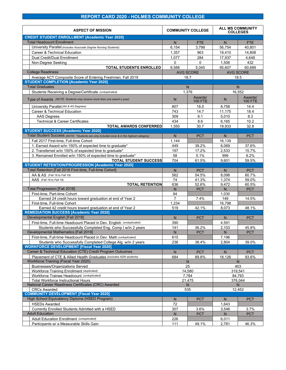### **REPORT CARD 2020 - HOLMES COMMUNITY COLLEGE**

| <b>ASPECT OF MISSION</b>                                                                                    |                | <b>COMMUNITY COLLEGE</b>  | <b>ALL MS COMMUNITY</b><br><b>COLLEGES</b> |                           |
|-------------------------------------------------------------------------------------------------------------|----------------|---------------------------|--------------------------------------------|---------------------------|
| <b>CREDIT STUDENT ENROLLMENT [Academic Year 2020]</b>                                                       |                |                           |                                            |                           |
| <b>Total Headcount Enrollment</b>                                                                           | N              | <b>FTE</b>                | N                                          | <b>FTE</b>                |
| University Parallel (includes Associate Degree Nursing Students)                                            | 6,154          | 3,798                     | 56,754                                     | 40,801                    |
| Career & Technical Education                                                                                | 1,357          | 963                       | 19,410                                     | 14,808                    |
| Dual Credit/Dual Enrollment                                                                                 | 1.077          | 284                       | 17,937                                     | 4,648                     |
| Non-Degree Seeking                                                                                          | $\mathbf 0$    | $\Omega$                  | 1,506                                      | 432                       |
| <b>TOTAL STUDENTS ENROLLED</b>                                                                              | 8,588          | 5.045                     | 95,607                                     | 60,689                    |
| <b>College Readiness</b>                                                                                    |                | <b>AVG SCORE</b>          |                                            | <b>AVG SCORE</b>          |
| Average ACT Composite Score of Entering Freshmen, Fall 2019                                                 |                | 18.7                      |                                            | 18.5                      |
| <b>STUDENT COMPLETION [Academic Year 2020]</b>                                                              |                |                           |                                            |                           |
| <b>Total Graduates</b>                                                                                      |                | N                         |                                            | N                         |
| Students Receiving a Degree/Certificate (unduplicated)                                                      |                | 1.376                     |                                            | 16.552                    |
| Type of Awards (NOTE: Students may receive more than one award a year)                                      | N              | Awards/<br><b>100 FTE</b> | N                                          | Awards/<br><b>100 FTE</b> |
| University Parallel (AA & AS Degrees)                                                                       | 807            | 16.0                      | 8,758                                      | 14.4                      |
| Career & Technical Education                                                                                | 743            | 14.7                      | 11,175                                     | 18.4                      |
| <b>AAS Degrees</b>                                                                                          | 309            | 6.1                       | 5,010                                      | 8.3                       |
| <b>Technical &amp; Career Certificates</b>                                                                  | 434            | 8.6                       | 6,165                                      | 10.2                      |
| <b>TOTAL AWARDS CONFERRED</b>                                                                               | 1,550          | 30.7                      | 19,933                                     | 32.8                      |
| <b>STUDENT SUCCESS [Academic Year 2020]</b>                                                                 |                |                           |                                            |                           |
| Total Student Success (NOTE: *Students are only included once & in the highest category)                    | N              | <b>PCT</b>                | N                                          | <b>PCT</b>                |
| Fall 2017 First-time, Full-time Cohort                                                                      | 1,144          |                           | 16,139                                     |                           |
| 1. Earned Award w/in 150% of expected time to graduate*                                                     | 449            | 39.2%                     | 6,069                                      | 37.6%                     |
| 2. Transferred w/in 150% of expected time to graduate*                                                      | 197            | 17.2%                     | 2.533                                      | 15.7%                     |
| 3. Remained Enrolled w/in 150% of expected time to graduate*                                                | 58             | 5.1%                      | 999                                        | 6.2%                      |
| <b>TOTAL STUDENT SUCCESS</b><br><b>STUDENT RETENTION/PROGRESSION [Academic Year 2020]</b>                   | 704            | 61.5%                     | 9,601                                      | 59.5%                     |
| Total Retention [Fall 2018 First-time, Full-time Cohort]                                                    |                |                           |                                            |                           |
| AA & AS (Fall 18 to Fall 19)                                                                                | N<br>562       | <b>PCT</b><br>54.5%       | N<br>8,098                                 | <b>PCT</b><br>60.7%       |
| AAS (Fall 18 to Fall 19)                                                                                    | 74             | 41.3%                     | 1,374                                      | 59.0%                     |
| <b>TOTAL RETENTION</b>                                                                                      | 636            | 52.6%                     | 9,472                                      | 60.5%                     |
| <b>Total Progression [Fall 2018]</b>                                                                        | N              | <b>PCT</b>                | N                                          | <b>PCT</b>                |
| First-time, Part-time Cohort                                                                                | 94             |                           | 1,030                                      |                           |
| Earned 24 credit hours toward graduation at end of Year 2                                                   | $\overline{7}$ | 7.4%                      | 149                                        | 14.5%                     |
| First-time, Full-time Cohort                                                                                | 1,234          |                           | 16,798                                     |                           |
| Earned 42 credit hours toward graduation at end of Year 2                                                   | 519            | 42.1%                     | 8,073                                      | 48.1%                     |
| <b>REMEDIATION SUCCESS [Academic Year 2020]</b>                                                             |                |                           |                                            |                           |
| Developmental English [Fall 2018]                                                                           | N.             | <b>PCT</b>                | N.                                         | <b>PCT</b>                |
| First-time, Full-time Headcount Placed in Dev. English (unduplicated)                                       | 390            |                           | 4,591                                      |                           |
| Students who Successfully Completed Eng. Comp I w/in 2 years                                                | 141            | 36.2%                     | 2,103                                      | 45.8%                     |
| Developmental Mathematics [Fall 2018]                                                                       | ${\sf N}$      | <b>PCT</b>                | ${\sf N}$                                  | <b>PCT</b>                |
| First-time, Full-time Headcount Placed in Dev. Math (unduplicated)                                          | 615            |                           | 7,196                                      |                           |
| Students who Successfully Completed College Alg. w/in 2 years                                               | 236            | 38.4%                     | 2,804                                      | 39.0%                     |
| <b>WORKFORCE DEVELOPMENT [Fiscal Year 2020]</b>                                                             |                |                           |                                            |                           |
| Career & Technical Education (CTE) Credit Program Outcomes                                                  | N              | <b>PCT</b>                | N                                          | <b>PCT</b>                |
| Placement of CTE & Allied Health Graduates (excludes ADN students)<br>Workforce Training (Fiscal Year 2020) | 684            | 89.8%<br>N                | 18,126                                     | 93.6%<br>N                |
| <b>Businesses/Organizations Served</b>                                                                      |                | 25                        |                                            | 403                       |
| Workforce Training Enrollment (duplicated)                                                                  |                | 14,580                    |                                            | 319,541                   |
| Workforce Trainee Headcount (unduplicated)                                                                  |                | 7,784                     |                                            | 84,793                    |
| <b>Total Workforce Instructional Hours</b><br>National Career Readiness Certificates (CRC) Awarded          |                | 21,475                    |                                            | 376,044                   |
| <b>CRCs Awarded</b>                                                                                         |                | N<br>535                  |                                            | N<br>12,452               |
| <b>COMMUNITY DEVELOPMENT [Fiscal Year 2020]</b>                                                             |                |                           |                                            |                           |
| High School Equivalency Diploma (HSED Program)                                                              | N              | <b>PCT</b>                | N.                                         | <b>PCT</b>                |
| <b>HSEDs Awarded</b>                                                                                        | 72             |                           | 1,643                                      |                           |
| Currently Enrolled Students Admitted with a HSED                                                            | 307            | 3.6%                      | 3,546                                      | 3.7%                      |
| <b>Adult Education</b>                                                                                      | $\mathsf{N}$   | <b>PCT</b>                | N                                          | <b>PCT</b>                |
| Adult Education Enrollment (unduplicated)                                                                   | 226            |                           | 6,011                                      |                           |
| Participants w/ a Measurable Skills Gain                                                                    | 111            | 49.1%                     | 2,781                                      | 46.3%                     |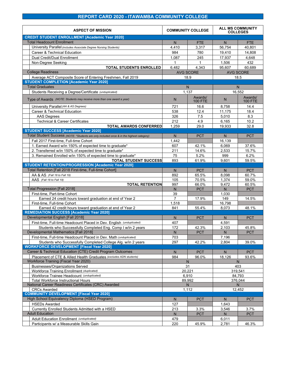### **REPORT CARD 2020 - ITAWAMBA COMMUNITY COLLEGE**

| <b>ASPECT OF MISSION</b>                                                                 | <b>COMMUNITY COLLEGE</b> |                  | <b>ALL MS COMMUNITY</b><br><b>COLLEGES</b> |                  |
|------------------------------------------------------------------------------------------|--------------------------|------------------|--------------------------------------------|------------------|
| <b>CREDIT STUDENT ENROLLMENT [Academic Year 2020]</b>                                    |                          |                  |                                            |                  |
| <b>Total Headcount Enrollment</b>                                                        | N                        | <b>FTE</b>       | N                                          | <b>FTE</b>       |
| University Parallel (includes Associate Degree Nursing Students)                         | 4,410                    | 3,317            | 56,754                                     | 40,801           |
| Career & Technical Education                                                             | 984                      | 780              | 19,410                                     | 14.808           |
| Dual Credit/Dual Enrollment                                                              | 1,087                    | 245              | 17,937                                     | 4,648            |
| Non-Degree Seeking                                                                       | 1                        | 1                | 1,506                                      | 432              |
| <b>TOTAL STUDENTS ENROLLED</b>                                                           | 6,482                    | 4,343            | 95,607                                     | 60,689           |
| <b>College Readiness</b>                                                                 |                          | <b>AVG SCORE</b> |                                            | <b>AVG SCORE</b> |
| Average ACT Composite Score of Entering Freshmen, Fall 2019                              |                          | 18.9             |                                            | 18.5             |
| <b>STUDENT COMPLETION [Academic Year 2020]</b>                                           |                          |                  |                                            |                  |
| <b>Total Graduates</b>                                                                   |                          | N                |                                            | N                |
| Students Receiving a Degree/Certificate (unduplicated)                                   |                          | 1.137            |                                            | 16.552           |
|                                                                                          |                          | Awards/          |                                            | Awards/          |
| Type of Awards (NOTE: Students may receive more than one award a year)                   | N                        | <b>100 FTE</b>   | N                                          | <b>100 FTE</b>   |
| University Parallel (AA & AS Degrees)                                                    | 721                      | 16.6             | 8,758                                      | 14.4             |
| Career & Technical Education                                                             | 538                      | 12.4             | 11,175                                     | 18.4             |
| <b>AAS Dearees</b>                                                                       | 326                      | 7.5              | 5,010                                      | 8.3              |
| <b>Technical &amp; Career Certificates</b>                                               | 212                      | 4.9              | 6,165                                      | 10.2             |
| <b>TOTAL AWARDS CONFERRED</b>                                                            | 1,259                    | 29.0             | 19,933                                     | 32.8             |
| <b>STUDENT SUCCESS [Academic Year 2020]</b>                                              |                          |                  |                                            |                  |
| Total Student Success (NOTE: *Students are only included once & in the highest category) | N                        | <b>PCT</b>       | N                                          | <b>PCT</b>       |
| Fall 2017 First-time, Full-time Cohort                                                   | 1,442                    |                  | 16,139                                     |                  |
| 1. Earned Award w/in 150% of expected time to graduate*                                  | 607                      | 42.1%            | 6,069                                      | 37.6%            |
| 2. Transferred w/in 150% of expected time to graduate*                                   | 211                      | 14.6%            | 2,533                                      | 15.7%            |
| 3. Remained Enrolled w/in 150% of expected time to graduate*                             | 75                       | 5.2%             | 999                                        | 6.2%             |
| <b>TOTAL STUDENT SUCCESS</b>                                                             | 893                      | 61.9%            | 9,601                                      | 59.5%            |
| STUDENT RETENTION/PROGRESSION [Academic Year 2020]                                       |                          |                  |                                            |                  |
| Total Retention [Fall 2018 First-time, Full-time Cohort]                                 | N                        | <b>PCT</b>       | N                                          | <b>PCT</b>       |
| AA & AS (Fall 18 to Fall 19)                                                             | 892                      | 65.5%            | 8,098                                      | 60.7%            |
| AAS (Fall 18 to Fall 19)                                                                 | 105                      | 70.5%            | 1,374                                      | 59.0%            |
| <b>TOTAL RETENTION</b>                                                                   | 997                      | 66.0%            | 9,472                                      | 60.5%            |
| <b>Total Progression [Fall 2018]</b>                                                     | N                        | <b>PCT</b>       | N.                                         | <b>PCT</b>       |
| First-time, Part-time Cohort                                                             | 39                       |                  | 1,030                                      |                  |
| Earned 24 credit hours toward graduation at end of Year 2                                | $\overline{7}$           | 17.9%            | 149                                        | 14.5%            |
| First-time, Full-time Cohort                                                             | 1,518                    |                  | 16,798                                     |                  |
| Earned 42 credit hours toward graduation at end of Year 2                                | 841                      | 55.4%            | 8,073                                      | 48.1%            |
| <b>REMEDIATION SUCCESS [Academic Year 2020]</b>                                          |                          |                  |                                            |                  |
| Developmental English [Fall 2018]                                                        | N.                       | <b>PCT</b>       | N                                          | <b>PCT</b>       |
| First-time, Full-time Headcount Placed in Dev. English (unduplicated)                    | 407                      |                  | 4,591                                      |                  |
| Students who Successfully Completed Eng. Comp I w/in 2 years                             | 172                      | 42.3%            | 2,103                                      | 45.8%            |
| Developmental Mathematics [Fall 2018]                                                    | N                        | <b>PCT</b>       | N                                          | <b>PCT</b>       |
| First-time, Full-time Headcount Placed in Dev. Math (unduplicated)                       | 703                      |                  | 7,196                                      |                  |
| Students who Successfully Completed College Alg. w/in 2 years                            | 297                      | 42.2%            | 2,804                                      | 39.0%            |
| <b>WORKFORCE DEVELOPMENT [Fiscal Year 2020]</b>                                          |                          |                  |                                            |                  |
| Career & Technical Education (CTE) Credit Program Outcomes                               | N                        | <b>PCT</b>       | N                                          | <b>PCT</b>       |
| Placement of CTE & Allied Health Graduates (excludes ADN students)                       | 984                      | 96.0%            | 18,126                                     | 93.6%            |
| Workforce Training (Fiscal Year 2020)                                                    |                          | N                |                                            | N                |
| <b>Businesses/Organizations Served</b>                                                   |                          | 31               |                                            | 403              |
| Workforce Training Enrollment (duplicated)                                               |                          | 20.221           |                                            | 319,541          |
| Workforce Trainee Headcount (unduplicated)                                               |                          | 6,910            |                                            | 84,793           |
| <b>Total Workforce Instructional Hours</b>                                               |                          | 89,992           |                                            | 376,044          |
| National Career Readiness Certificates (CRC) Awarded                                     |                          | N                |                                            | N                |
| <b>CRCs Awarded</b><br><b>COMMUNITY DEVELOPMENT [Fiscal Year 2020]</b>                   |                          | 1,112            |                                            | 12,452           |
| High School Equivalency Diploma (HSED Program)                                           |                          |                  |                                            |                  |
|                                                                                          | N                        | <b>PCT</b>       | N                                          | <b>PCT</b>       |
| <b>HSEDs Awarded</b>                                                                     | 127                      |                  | 1,643                                      |                  |
| Currently Enrolled Students Admitted with a HSED<br><b>Adult Education</b>               | 213                      | 3.3%             | 3,546                                      | 3.7%             |
|                                                                                          | $\mathsf{N}$             | <b>PCT</b>       | $\mathsf{N}$                               | <b>PCT</b>       |
| Adult Education Enrollment (unduplicated)<br>Participants w/ a Measurable Skills Gain    | 479<br>220               | 45.9%            | 6,011<br>2,781                             | 46.3%            |
|                                                                                          |                          |                  |                                            |                  |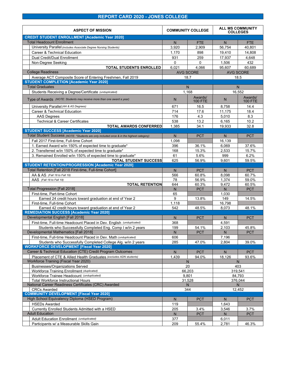### **REPORT CARD 2020 - JONES COLLEGE**

| <b>ASPECT OF MISSION</b>                                                                                         | <b>COMMUNITY COLLEGE</b> |                  | <b>ALL MS COMMUNITY</b><br><b>COLLEGES</b> |                  |
|------------------------------------------------------------------------------------------------------------------|--------------------------|------------------|--------------------------------------------|------------------|
| <b>CREDIT STUDENT ENROLLMENT [Academic Year 2020]</b>                                                            |                          |                  |                                            |                  |
| <b>Total Headcount Enrollment</b>                                                                                | N                        | <b>FTE</b>       | N                                          | <b>FTE</b>       |
| University Parallel (includes Associate Degree Nursing Students)                                                 | 3,920                    | 2,909            | 56,754                                     | 40,801           |
| Career & Technical Education                                                                                     | 1,170                    | 898              | 19.410                                     | 14,808           |
| Dual Credit/Dual Enrollment                                                                                      | 931                      | 259              | 17,937                                     | 4,648            |
| Non-Degree Seeking                                                                                               | $\Omega$                 | 0                | 1,506                                      | 432              |
| <b>TOTAL STUDENTS ENROLLED</b>                                                                                   | 6,021                    | 4.066            | 95,607                                     | 60,689           |
| <b>College Readiness</b>                                                                                         |                          | <b>AVG SCORE</b> |                                            | <b>AVG SCORE</b> |
| Average ACT Composite Score of Entering Freshmen, Fall 2019                                                      |                          | 18.7             |                                            | 18.5             |
| <b>STUDENT COMPLETION [Academic Year 2020]</b>                                                                   |                          |                  |                                            |                  |
| <b>Total Graduates</b>                                                                                           |                          | N                |                                            | N                |
| Students Receiving a Degree/Certificate (unduplicated)                                                           |                          | 1.168            |                                            | 16.552           |
|                                                                                                                  |                          | Awards/          |                                            | Awards/          |
| Type of Awards (NOTE: Students may receive more than one award a year)                                           | N                        | <b>100 FTE</b>   | N                                          | <b>100 FTE</b>   |
| University Parallel (AA & AS Degrees)                                                                            | 671                      | 16.5             | 8,758                                      | 14.4             |
| Career & Technical Education                                                                                     | 714                      | 17.6             | 11,175                                     | 18.4             |
| <b>AAS Degrees</b>                                                                                               | 176                      | 4.3              | 5,010                                      | 8.3              |
| <b>Technical &amp; Career Certificates</b>                                                                       | 538                      | 13.2             | 6,165                                      | 10.2             |
| <b>TOTAL AWARDS CONFERRED</b>                                                                                    | 1,385                    | 34.1             | 19.933                                     | 32.8             |
| <b>STUDENT SUCCESS [Academic Year 2020]</b>                                                                      |                          |                  |                                            |                  |
| Total Student Success (NOTE: *Students are only included once & in the highest category)                         | N                        | PCT              | N.                                         | <b>PCT</b>       |
| Fall 2017 First-time, Full-time Cohort                                                                           | 1,098                    |                  | 16,139                                     |                  |
| 1. Earned Award w/in 150% of expected time to graduate*                                                          | 396                      | 36.1%            | 6,069                                      | 37.6%            |
| 2. Transferred w/in 150% of expected time to graduate*                                                           | 168                      | 15.3%            | 2,533                                      | 15.7%            |
| 3. Remained Enrolled w/in 150% of expected time to graduate*                                                     | 61                       | 5.6%             | 999                                        | 6.2%             |
| <b>TOTAL STUDENT SUCCESS</b>                                                                                     | 625                      | 56.9%            | 9,601                                      | 59.5%            |
| <b>STUDENT RETENTION/PROGRESSION [Academic Year 2020]</b>                                                        |                          |                  |                                            |                  |
| Total Retention [Fall 2018 First-time, Full-time Cohort]                                                         | N                        | <b>PCT</b>       | N.                                         | <b>PCT</b>       |
| AA & AS (Fall 18 to Fall 19)                                                                                     | 566                      | 60.8%            | 8.098                                      | 60.7%            |
| AAS (Fall 18 to Fall 19)                                                                                         | 78                       | 56.9%            | 1,374                                      | 59.0%            |
| <b>TOTAL RETENTION</b>                                                                                           | 644                      | 60.3%            | 9,472                                      | 60.5%            |
| <b>Total Progression [Fall 2018]</b>                                                                             | N                        | <b>PCT</b>       | N <sub>1</sub>                             | <b>PCT</b>       |
| First-time, Part-time Cohort                                                                                     | 65                       |                  | 1,030                                      |                  |
| Earned 24 credit hours toward graduation at end of Year 2                                                        | 9                        | 13.8%            | 149                                        | 14.5%            |
| First-time, Full-time Cohort                                                                                     | 1,118                    |                  | 16,798                                     |                  |
| Earned 42 credit hours toward graduation at end of Year 2                                                        | 542                      | 48.5%            | 8,073                                      | 48.1%            |
| <b>REMEDIATION SUCCESS [Academic Year 2020]</b>                                                                  |                          |                  |                                            |                  |
| Developmental English [Fall 2018]                                                                                | N                        | <b>PCT</b>       | N.                                         | <b>PCT</b>       |
| First-time, Full-time Headcount Placed in Dev. English (unduplicated)                                            | 368                      |                  | 4,591                                      |                  |
| Students who Successfully Completed Eng. Comp I w/in 2 years                                                     | 199                      | 54.1%            | 2,103                                      | 45.8%            |
| Developmental Mathematics [Fall 2018]                                                                            | N                        | <b>PCT</b>       | N                                          | PCT              |
| First-time, Full-time Headcount Placed in Dev. Math (unduplicated)                                               | 606                      |                  | 7,196                                      |                  |
| Students who Successfully Completed College Alg. w/in 2 years<br><b>WORKFORCE DEVELOPMENT [Fiscal Year 2020]</b> | 285                      | 47.0%            | 2,804                                      | 39.0%            |
| Career & Technical Education (CTE) Credit Program Outcomes                                                       | N.                       | <b>PCT</b>       | N.                                         | <b>PCT</b>       |
| Placement of CTE & Allied Health Graduates (excludes ADN students)                                               | 1,439                    | 94.0%            | 18,126                                     | 93.6%            |
| Workforce Training (Fiscal Year 2020)                                                                            |                          | N.               |                                            | $\mathsf{N}$     |
| <b>Businesses/Organizations Served</b>                                                                           |                          | 20               |                                            | 403              |
| Workforce Training Enrollment (duplicated)                                                                       |                          | 66,203           |                                            | 319,541          |
| Workforce Trainee Headcount (unduplicated)                                                                       |                          | 9,801            |                                            | 84,793           |
| <b>Total Workforce Instructional Hours</b>                                                                       |                          | 31,528           |                                            | 376,044          |
| National Career Readiness Certificates (CRC) Awarded                                                             |                          | N                |                                            | N.               |
| <b>CRCs Awarded</b>                                                                                              |                          | 344              |                                            | 12,452           |
| <b>COMMUNITY DEVELOPMENT [Fiscal Year 2020]</b>                                                                  |                          |                  |                                            |                  |
| High School Equivalency Diploma (HSED Program)                                                                   | N.                       | <b>PCT</b>       | N.                                         | <b>PCT</b>       |
| <b>HSEDs Awarded</b>                                                                                             | 119                      |                  | 1,643                                      |                  |
| Currently Enrolled Students Admitted with a HSED                                                                 | 205                      | 3.4%             | 3,546                                      | 3.7%             |
| <b>Adult Education</b>                                                                                           | N                        | <b>PCT</b>       | N                                          | <b>PCT</b>       |
| Adult Education Enrollment (unduplicated)                                                                        | 377                      |                  | 6,011                                      |                  |
| Participants w/ a Measurable Skills Gain                                                                         | 209                      | 55.4%            | 2,781                                      | 46.3%            |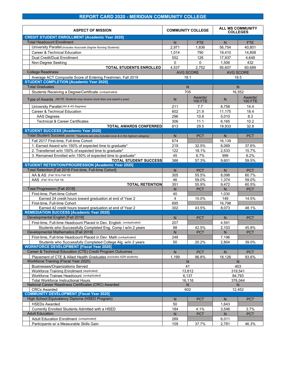### **REPORT CARD 2020 - MERIDIAN COMMUNITY COLLEGE**

| <b>ASPECT OF MISSION</b>                                                                 |                | <b>COMMUNITY COLLEGE</b>  | <b>ALL MS COMMUNITY</b><br><b>COLLEGES</b> |                           |
|------------------------------------------------------------------------------------------|----------------|---------------------------|--------------------------------------------|---------------------------|
| <b>CREDIT STUDENT ENROLLMENT [Academic Year 2020]</b>                                    |                |                           |                                            |                           |
| <b>Total Headcount Enrollment</b>                                                        | N              | <b>FTE</b>                | N                                          | <b>FTE</b>                |
| University Parallel (includes Associate Degree Nursing Students)                         | 2,971          | 1,836                     | 56,754                                     | 40,801                    |
| Career & Technical Education                                                             | 1.014          | 790                       | 19,410                                     | 14.808                    |
| Dual Credit/Dual Enrollment                                                              | 552            | 126                       | 17,937                                     | 4,648                     |
| Non-Degree Seeking                                                                       | 0              | 0                         | 1,506                                      | 432                       |
| <b>TOTAL STUDENTS ENROLLED</b>                                                           | 4,537          | 2,752                     | 95,607                                     | 60,689                    |
| <b>College Readiness</b>                                                                 |                | <b>AVG SCORE</b>          |                                            | <b>AVG SCORE</b>          |
| Average ACT Composite Score of Entering Freshmen, Fall 2019                              |                | 18.1                      |                                            | 18.5                      |
| <b>STUDENT COMPLETION [Academic Year 2020]</b>                                           |                |                           |                                            |                           |
| <b>Total Graduates</b>                                                                   |                | N                         |                                            | N                         |
| Students Receiving a Degree/Certificate (unduplicated)                                   |                | 705                       |                                            | 16.552                    |
| Type of Awards (NOTE: Students may receive more than one award a year)                   | N              | Awards/<br><b>100 FTE</b> | N                                          | Awards/<br><b>100 FTE</b> |
| University Parallel (AA & AS Degrees)                                                    | 211            | 7.7                       | 8,758                                      | 14.4                      |
| Career & Technical Education                                                             | 602            | 21.9                      | 11,175                                     | 18.4                      |
| <b>AAS Degrees</b>                                                                       | 296            | 10.8                      | 5,010                                      | 8.3                       |
| <b>Technical &amp; Career Certificates</b>                                               | 306            | 11.1                      | 6,165                                      | 10.2                      |
| <b>TOTAL AWARDS CONFERRED</b>                                                            | 813            | 29.5                      | 19.933                                     | 32.8                      |
| <b>STUDENT SUCCESS [Academic Year 2020]</b>                                              |                |                           |                                            |                           |
| Total Student Success (NOTE: *Students are only included once & in the highest category) | N              | <b>PCT</b>                | N                                          | <b>PCT</b>                |
| Fall 2017 First-time, Full-time Cohort                                                   | 674            |                           | 16,139                                     |                           |
| 1. Earned Award w/in 150% of expected time to graduate*                                  | 219            | 32.5%                     | 6,069                                      | 37.6%                     |
| 2. Transferred w/in 150% of expected time to graduate*                                   | 122            | 18.1%                     | 2,533                                      | 15.7%                     |
| 3. Remained Enrolled w/in 150% of expected time to graduate*                             | 45             | 6.7%                      | 999                                        | 6.2%                      |
| <b>TOTAL STUDENT SUCCESS</b><br>STUDENT RETENTION/PROGRESSION [Academic Year 2020]       | 386            | 57.3%                     | 9,601                                      | 59.5%                     |
| Total Retention [Fall 2018 First-time, Full-time Cohort]                                 |                |                           |                                            |                           |
| AA & AS (Fall 18 to Fall 19)                                                             | N              | <b>PCT</b>                | N                                          | <b>PCT</b><br>60.7%       |
| AAS (Fall 18 to Fall 19)                                                                 | 305<br>46      | 55.5%<br>59.0%            | 8,098<br>1,374                             | 59.0%                     |
| <b>TOTAL RETENTION</b>                                                                   | 351            | 55.9%                     | 9,472                                      | 60.5%                     |
| <b>Total Progression [Fall 2018]</b>                                                     | N              | <b>PCT</b>                | N.                                         | <b>PCT</b>                |
| First-time, Part-time Cohort                                                             | 40             |                           | 1,030                                      |                           |
| Earned 24 credit hours toward graduation at end of Year 2                                | 4              | 10.0%                     | 149                                        | 14.5%                     |
| First-time, Full-time Cohort                                                             | 695            |                           | 16,798                                     |                           |
| Earned 42 credit hours toward graduation at end of Year 2                                | 302            | 43.5%                     | 8,073                                      | 48.1%                     |
| <b>REMEDIATION SUCCESS [Academic Year 2020]</b>                                          |                |                           |                                            |                           |
| Developmental English [Fall 2018]                                                        | N              | <b>PCT</b>                | N                                          | <b>PCT</b>                |
| First-time, Full-time Headcount Placed in Dev. English (unduplicated)                    | 207            |                           | 4,591                                      |                           |
| Students who Successfully Completed Eng. Comp I w/in 2 years                             | 88             | 42.5%                     | 2,103                                      | 45.8%                     |
| Developmental Mathematics [Fall 2018]                                                    | N              | <b>PCT</b>                | N                                          | <b>PCT</b>                |
| First-time, Full-time Headcount Placed in Dev. Math (unduplicated)                       | 248            |                           | 7,196                                      |                           |
| Students who Successfully Completed College Alg. w/in 2 years                            | 50             | 20.2%                     | 2,804                                      | 39.0%                     |
| <b>WORKFORCE DEVELOPMENT [Fiscal Year 2020]</b>                                          |                |                           |                                            |                           |
| Career & Technical Education (CTE) Credit Program Outcomes                               | N              | <b>PCT</b>                | N                                          | <b>PCT</b>                |
| Placement of CTE & Allied Health Graduates (excludes ADN students)                       | 1,199          | 96.8%                     | 18,126                                     | 93.6%                     |
| Workforce Training (Fiscal Year 2020)<br><b>Businesses/Organizations Served</b>          | 41             | N                         | N<br>403                                   |                           |
| Workforce Training Enrollment (duplicated)                                               |                | 13,812                    |                                            | 319.541                   |
| Workforce Trainee Headcount (unduplicated)                                               |                | 6,137                     |                                            | 84,793                    |
| <b>Total Workforce Instructional Hours</b>                                               |                | 16,116                    |                                            | 376,044                   |
| National Career Readiness Certificates (CRC) Awarded                                     |                | N                         |                                            | N                         |
| <b>CRCs Awarded</b>                                                                      |                | 602                       |                                            | 12,452                    |
| <b>COMMUNITY DEVELOPMENT [Fiscal Year 2020]</b>                                          |                |                           |                                            |                           |
| High School Equivalency Diploma (HSED Program)                                           | N              | <b>PCT</b>                | N                                          | <b>PCT</b>                |
| <b>HSEDs Awarded</b>                                                                     | 50             |                           | 1,643                                      |                           |
| Currently Enrolled Students Admitted with a HSED                                         | 184            | 4.1%                      | 3,546                                      | 3.7%                      |
| <b>Adult Education</b>                                                                   | $\overline{N}$ | <b>PCT</b>                | $\mathsf{N}$                               | <b>PCT</b>                |
| Adult Education Enrollment (unduplicated)                                                | 289            |                           | 6,011                                      |                           |
| Participants w/ a Measurable Skills Gain                                                 | 109            | 37.7%                     | 2,781                                      | 46.3%                     |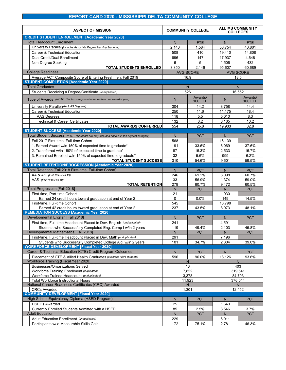### **REPORT CARD 2020 - MISSISSIPPI DELTA COMMUNITY COLLEGE**

| <b>ASPECT OF MISSION</b>                                                                 | <b>COMMUNITY COLLEGE</b> |                  | <b>ALL MS COMMUNITY</b><br><b>COLLEGES</b> |                  |
|------------------------------------------------------------------------------------------|--------------------------|------------------|--------------------------------------------|------------------|
| <b>CREDIT STUDENT ENROLLMENT [Academic Year 2020]</b>                                    |                          |                  |                                            |                  |
| <b>Total Headcount Enrollment</b>                                                        | N                        | <b>FTE</b>       | N                                          | <b>FTE</b>       |
| University Parallel (includes Associate Degree Nursing Students)                         | 2,140                    | 1,584            | 56,754                                     | 40,801           |
| Career & Technical Education                                                             | 508                      | 410              | 19.410                                     | 14,808           |
| Dual Credit/Dual Enrollment                                                              | 696                      | 147              | 17,937                                     | 4,648            |
| Non-Degree Seeking                                                                       | 6                        | 5                | 1,506                                      | 432              |
| <b>TOTAL STUDENTS ENROLLED</b>                                                           | 3.350                    | 2.146            | 95,607                                     | 60,689           |
| <b>College Readiness</b>                                                                 |                          | <b>AVG SCORE</b> |                                            | <b>AVG SCORE</b> |
| Average ACT Composite Score of Entering Freshmen, Fall 2019                              |                          | 16.9             |                                            | 18.5             |
| <b>STUDENT COMPLETION [Academic Year 2020]</b>                                           |                          |                  |                                            |                  |
| <b>Total Graduates</b>                                                                   |                          | N                |                                            | N                |
| Students Receiving a Degree/Certificate (unduplicated)                                   |                          | 526              |                                            | 16.552           |
|                                                                                          |                          | Awards/          |                                            | Awards/          |
| Type of Awards (NOTE: Students may receive more than one award a year)                   | N                        | <b>100 FTE</b>   | N                                          | <b>100 FTE</b>   |
| University Parallel (AA & AS Degrees)                                                    | 304                      | 14.2             | 8,758                                      | 14.4             |
| <b>Career &amp; Technical Education</b>                                                  | 250                      | 11.6             | 11,175                                     | 18.4             |
| <b>AAS Degrees</b>                                                                       | 118                      | 5.5              | 5.010                                      | 8.3              |
| <b>Technical &amp; Career Certificates</b>                                               | 132                      | 6.2              | 6.165                                      | 10.2             |
| <b>TOTAL AWARDS CONFERRED</b>                                                            | 554                      | 25.8             | 19.933                                     | 32.8             |
| <b>STUDENT SUCCESS [Academic Year 2020]</b>                                              |                          |                  |                                            |                  |
| Total Student Success (NOTE: *Students are only included once & in the highest category) | N.                       | <b>PCT</b>       | N                                          | <b>PCT</b>       |
| Fall 2017 First-time, Full-time Cohort                                                   | 568                      |                  | 16,139                                     |                  |
| 1. Earned Award w/in 150% of expected time to graduate*                                  | 191                      | 33.6%            | 6,069                                      | 37.6%            |
| 2. Transferred w/in 150% of expected time to graduate*                                   | 87                       | 15.3%            | 2,533                                      | 15.7%            |
| 3. Remained Enrolled w/in 150% of expected time to graduate*                             | 32                       | 5.6%             | 999                                        | 6.2%             |
| <b>TOTAL STUDENT SUCCESS</b>                                                             | 310                      | 54.6%            | 9,601                                      | 59.5%            |
| <b>STUDENT RETENTION/PROGRESSION [Academic Year 2020]</b>                                |                          |                  |                                            |                  |
| Total Retention [Fall 2018 First-time, Full-time Cohort]                                 | N                        | <b>PCT</b>       | N                                          | <b>PCT</b>       |
| AA & AS (Fall 18 to Fall 19)                                                             | 246                      | 61.2%            | 8.098                                      | 60.7%            |
| AAS (Fall 18 to Fall 19)                                                                 | 33                       | 56.9%            | 1,374                                      | 59.0%            |
| <b>TOTAL RETENTION</b>                                                                   | 279                      | 60.7%            | 9,472                                      | 60.5%            |
| <b>Total Progression [Fall 2018]</b>                                                     | N.                       | <b>PCT</b>       | N.                                         | <b>PCT</b>       |
| First-time, Part-time Cohort                                                             | 21                       |                  | 1,030                                      |                  |
| Earned 24 credit hours toward graduation at end of Year 2                                | 0                        | $0.0\%$          | 149                                        | 14.5%            |
| First-time, Full-time Cohort                                                             | 545                      |                  | 16,798                                     |                  |
| Earned 42 credit hours toward graduation at end of Year 2                                | 237                      | 43.5%            | 8,073                                      | 48.1%            |
| <b>REMEDIATION SUCCESS [Academic Year 2020]</b>                                          |                          |                  |                                            |                  |
| Developmental English [Fall 2018]                                                        | N                        | <b>PCT</b>       | N                                          | <b>PCT</b>       |
| First-time, Full-time Headcount Placed in Dev. English (unduplicated)                    | 241                      |                  | 4,591                                      |                  |
| Students who Successfully Completed Eng. Comp I w/in 2 years                             | 119                      | 49.4%            | 2,103                                      | 45.8%            |
| Developmental Mathematics [Fall 2018]                                                    | N                        | <b>PCT</b>       | N                                          | PCT              |
| First-time, Full-time Headcount Placed in Dev. Math (unduplicated)                       | 291                      |                  | 7,196                                      |                  |
| Students who Successfully Completed College Alg. w/in 2 years                            | 101                      | 34.7%            | 2,804                                      | 39.0%            |
| <b>WORKFORCE DEVELOPMENT [Fiscal Year 2020]</b>                                          |                          |                  |                                            |                  |
| Career & Technical Education (CTE) Credit Program Outcomes                               | N                        | <b>PCT</b>       | N                                          | <b>PCT</b>       |
| Placement of CTE & Allied Health Graduates (excludes ADN students)                       | 596                      | 96.0%            | 18,126                                     | 93.6%            |
| Workforce Training (Fiscal Year 2020)                                                    |                          | N                |                                            | $\mathsf{N}$     |
| Businesses/Organizations Served                                                          |                          | 13               |                                            | 403              |
| Workforce Training Enrollment (duplicated)                                               |                          | 7.822            |                                            | 319,541          |
| Workforce Trainee Headcount (unduplicated)                                               |                          | 3,378            |                                            | 84,793           |
| <b>Total Workforce Instructional Hours</b>                                               |                          | 11,923           |                                            | 376,044          |
| National Career Readiness Certificates (CRC) Awarded                                     |                          | N                |                                            | N                |
| <b>CRCs Awarded</b>                                                                      |                          | 1,301            |                                            | 12,452           |
| <b>COMMUNITY DEVELOPMENT [Fiscal Year 2020]</b>                                          |                          |                  |                                            |                  |
| High School Equivalency Diploma (HSED Program)                                           | N                        | <b>PCT</b>       | N                                          | <b>PCT</b>       |
| <b>HSEDs Awarded</b>                                                                     | 25                       |                  | 1,643                                      |                  |
| Currently Enrolled Students Admitted with a HSED                                         | 85                       | 2.5%             | 3,546                                      | 3.7%             |
| <b>Adult Education</b>                                                                   | $\mathsf{N}$             | <b>PCT</b>       | N                                          | PCT              |
| Adult Education Enrollment (unduplicated)                                                | 229                      |                  | 6,011                                      |                  |
| Participants w/ a Measurable Skills Gain                                                 | 172                      | 75.1%            | 2,781                                      | 46.3%            |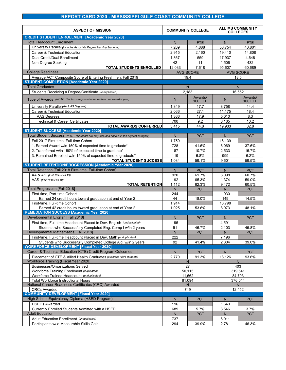### **REPORT CARD 2020 - MISSISSIPPI GULF COAST COMMUNITY COLLEGE**

| <b>ASPECT OF MISSION</b>                                                                 | <b>COMMUNITY COLLEGE</b> |                     | <b>ALL MS COMMUNITY</b><br><b>COLLEGES</b> |                |
|------------------------------------------------------------------------------------------|--------------------------|---------------------|--------------------------------------------|----------------|
| <b>CREDIT STUDENT ENROLLMENT [Academic Year 2020]</b>                                    |                          |                     |                                            |                |
| <b>Total Headcount Enrollment</b>                                                        | N                        | <b>FTE</b>          | N                                          | <b>FTE</b>     |
| University Parallel (includes Associate Degree Nursing Students)                         | 7,209                    | 4,888               | 56,754                                     | 40,801         |
| Career & Technical Education                                                             | 2,915                    | 2,160               | 19,410                                     | 14,808         |
| Dual Credit/Dual Enrollment                                                              | 1,867                    | 559                 | 17,937                                     | 4,648          |
| Non-Degree Seeking                                                                       | 42                       | 11                  | 1,506                                      | 432            |
| TOTAL STUDENTS ENROLLED                                                                  | 12,033                   | 7,618               | 95,607                                     | 60,689         |
| <b>College Readiness</b>                                                                 |                          | <b>AVG SCORE</b>    | <b>AVG SCORE</b>                           |                |
| Average ACT Composite Score of Entering Freshmen, Fall 2019                              |                          | 19.4                | 18.5                                       |                |
| <b>STUDENT COMPLETION [Academic Year 2020]</b>                                           |                          |                     |                                            |                |
| <b>Total Graduates</b>                                                                   |                          | N                   | N                                          |                |
| Students Receiving a Degree/Certificate (unduplicated)                                   |                          | 2.183               | 16.552                                     |                |
|                                                                                          |                          | Awards/             |                                            | Awards/        |
| Type of Awards (NOTE: Students may receive more than one award a year)                   | N                        | <b>100 FTE</b>      | N                                          | <b>100 FTE</b> |
| University Parallel (AA & AS Degrees)                                                    | 1,349                    | 17.7                | 8,758                                      | 14.4           |
| Career & Technical Education                                                             | 2,066                    | 27.1                | 11,175                                     | 18.4           |
| <b>AAS Degrees</b>                                                                       | 1,366                    | 17.9                | 5,010                                      | 8.3            |
| <b>Technical &amp; Career Certificates</b>                                               | 700                      | 9.2                 | 6,165                                      | 10.2           |
| <b>TOTAL AWARDS CONFERRED</b>                                                            | 3,415                    | 44.8                | 19,933                                     | 32.8           |
| <b>STUDENT SUCCESS [Academic Year 2020]</b>                                              |                          |                     |                                            |                |
| Total Student Success (NOTE: *Students are only included once & in the highest category) | N                        | <b>PCT</b>          | N                                          | <b>PCT</b>     |
| Fall 2017 First-time, Full-time Cohort                                                   | 1,750                    |                     | 16,139                                     |                |
| 1. Earned Award w/in 150% of expected time to graduate*                                  | 728                      | 41.6%               | 6,069                                      | 37.6%          |
| 2. Transferred w/in 150% of expected time to graduate*                                   | 187                      | 10.7%               | 2,533                                      | 15.7%          |
| 3. Remained Enrolled w/in 150% of expected time to graduate*                             | 119                      | 6.8%                | 999                                        | 6.2%           |
| <b>TOTAL STUDENT SUCCESS</b>                                                             | 1,034                    | 59.1%               | 9,601                                      | 59.5%          |
| <b>STUDENT RETENTION/PROGRESSION [Academic Year 2020]</b>                                |                          |                     |                                            |                |
| Total Retention [Fall 2018 First-time, Full-time Cohort]                                 |                          |                     |                                            | <b>PCT</b>     |
| AA & AS (Fall 18 to Fall 19)                                                             | N<br>920                 | <b>PCT</b><br>61.7% | N<br>8,098                                 | 60.7%          |
| AAS (Fall 18 to Fall 19)                                                                 | 192                      | 65.3%               | 1,374                                      | 59.0%          |
| <b>TOTAL RETENTION</b>                                                                   | 1,112                    | 62.3%               | 9,472                                      | 60.5%          |
| <b>Total Progression [Fall 2018]</b>                                                     | N.                       | <b>PCT</b>          | N                                          | <b>PCT</b>     |
| First-time, Part-time Cohort                                                             | 244                      |                     | 1.030                                      |                |
| Earned 24 credit hours toward graduation at end of Year 2                                | 44                       | 18.0%               | 149                                        | 14.5%          |
| First-time, Full-time Cohort                                                             | 1,914                    |                     | 16,798                                     |                |
| Earned 42 credit hours toward graduation at end of Year 2                                | 1,025                    | 53.6%               | 8,073                                      | 48.1%          |
| <b>REMEDIATION SUCCESS [Academic Year 2020]</b>                                          |                          |                     |                                            |                |
| Developmental English [Fall 2018]                                                        | N.                       | <b>PCT</b>          | N.                                         | <b>PCT</b>     |
| First-time, Full-time Headcount Placed in Dev. English (unduplicated)                    | 195                      |                     | 4,591                                      |                |
| Students who Successfully Completed Eng. Comp I w/in 2 years                             | 91                       | 46.7%               | 2,103                                      | 45.8%          |
| Developmental Mathematics [Fall 2018]                                                    | N                        | <b>PCT</b>          | N                                          | <b>PCT</b>     |
| First-time, Full-time Headcount Placed in Dev. Math (unduplicated)                       | 222                      |                     | 7,196                                      |                |
| Students who Successfully Completed College Alg. w/in 2 years                            | 92                       | 41.4%               | 2,804                                      | 39.0%          |
| <b>WORKFORCE DEVELOPMENT [Fiscal Year 2020]</b>                                          |                          |                     |                                            |                |
| Career & Technical Education (CTE) Credit Program Outcomes                               | N                        | PCT                 | N.                                         | <b>PCT</b>     |
| Placement of CTE & Allied Health Graduates (excludes ADN students)                       | 2,770                    | 91.3%               | 18.126                                     | 93.6%          |
| Workforce Training (Fiscal Year 2020)                                                    |                          | N                   |                                            | $\overline{N}$ |
| <b>Businesses/Organizations Served</b>                                                   |                          | 27                  | 403                                        |                |
| Workforce Training Enrollment (duplicated)                                               | 50,115                   |                     | 319,541                                    |                |
| Workforce Trainee Headcount (unduplicated)                                               | 11,662                   |                     | 84,793                                     |                |
| <b>Total Workforce Instructional Hours</b>                                               |                          | 81,094              |                                            | 376,044        |
| National Career Readiness Certificates (CRC) Awarded                                     | N                        |                     |                                            | N.             |
| <b>CRCs Awarded</b>                                                                      | 749                      |                     | 12,452                                     |                |
| <b>COMMUNITY DEVELOPMENT [Fiscal Year 2020]</b>                                          |                          |                     |                                            |                |
| High School Equivalency Diploma (HSED Program)                                           | N                        | <b>PCT</b>          | N                                          | <b>PCT</b>     |
| <b>HSEDs Awarded</b>                                                                     | 196                      |                     | 1,643                                      |                |
| Currently Enrolled Students Admitted with a HSED                                         | 689                      | 5.7%                | 3,546                                      | 3.7%           |
| <b>Adult Education</b>                                                                   | N                        | PCT                 | N                                          | <b>PCT</b>     |
| Adult Education Enrollment (unduplicated)                                                | 737                      |                     | 6,011                                      |                |
| Participants w/ a Measurable Skills Gain                                                 | 294                      | 39.9%               | 2,781                                      | 46.3%          |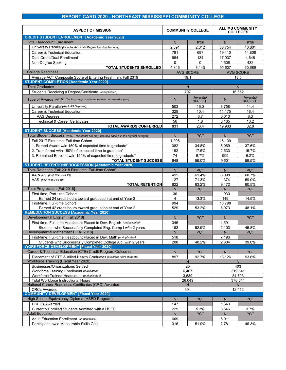### **REPORT CARD 2020 - NORTHEAST MISSISSIPPI COMMUNITY COLLEGE**

| <b>ASPECT OF MISSION</b>                                                                                         | <b>COMMUNITY COLLEGE</b> |                           | <b>ALL MS COMMUNITY</b><br><b>COLLEGES</b> |                           |
|------------------------------------------------------------------------------------------------------------------|--------------------------|---------------------------|--------------------------------------------|---------------------------|
| <b>CREDIT STUDENT ENROLLMENT [Academic Year 2020]</b>                                                            |                          |                           |                                            |                           |
| <b>Total Headcount Enrollment</b>                                                                                | N                        | <b>FTE</b>                | N                                          | <b>FTE</b>                |
| University Parallel (includes Associate Degree Nursing Students)                                                 | 2,891                    | 2,312                     | 56,754                                     | 40,801                    |
| Career & Technical Education                                                                                     | 791                      | 697                       | 19,410                                     | 14,808                    |
| Dual Credit/Dual Enrollment                                                                                      | 664                      | 134                       | 17,937                                     | 4,648                     |
| Non-Degree Seeking                                                                                               | $\Omega$                 | $\Omega$                  | 1,506                                      | 432                       |
| <b>TOTAL STUDENTS ENROLLED</b>                                                                                   | 4,346                    | 3,143                     | 95,607                                     | 60,689                    |
| <b>College Readiness</b>                                                                                         |                          | <b>AVG SCORE</b>          | <b>AVG SCORE</b>                           |                           |
| Average ACT Composite Score of Entering Freshmen, Fall 2019                                                      |                          | 19.1                      |                                            | 18.5                      |
| <b>STUDENT COMPLETION [Academic Year 2020]</b>                                                                   |                          |                           |                                            |                           |
| <b>Total Graduates</b>                                                                                           |                          | N                         |                                            | N                         |
| Students Receiving a Degree/Certificate (unduplicated)                                                           |                          | 797                       |                                            | 16,552                    |
| Type of Awards (NOTE: Students may receive more than one award a year)                                           | N                        | Awards/<br><b>100 FTE</b> | N                                          | Awards/<br><b>100 FTE</b> |
| University Parallel (AA & AS Degrees)                                                                            | 503                      | 16.0                      | 8,758                                      | 14.4                      |
| Career & Technical Education                                                                                     | 328                      | 10.4                      | 11,175                                     | 18.4                      |
| <b>AAS Degrees</b>                                                                                               | 272                      | 8.7                       | 5,010                                      | 8.3                       |
| <b>Technical &amp; Career Certificates</b>                                                                       | 56                       | 1.8                       | 6,165                                      | 10.2                      |
| <b>TOTAL AWARDS CONFERRED</b>                                                                                    | 831                      | 26.4                      | 19.933                                     | 32.8                      |
| <b>STUDENT SUCCESS [Academic Year 2020]</b>                                                                      |                          |                           |                                            |                           |
| Total Student Success (NOTE: *Students are only included once & in the highest category)                         | N                        | <b>PCT</b>                | N                                          | <b>PCT</b>                |
| Fall 2017 First-time, Full-time Cohort                                                                           | 1,098                    |                           | 16,139                                     |                           |
| 1. Earned Award w/in 150% of expected time to graduate*                                                          | 382                      | 34.8%                     | 6,069                                      | 37.6%                     |
| 2. Transferred w/in 150% of expected time to graduate*                                                           | 192                      | 17.5%                     | 2,533                                      | 15.7%                     |
| 3. Remained Enrolled w/in 150% of expected time to graduate*                                                     | 74                       | 6.7%                      | 999                                        | 6.2%                      |
| <b>TOTAL STUDENT SUCCESS</b>                                                                                     | 648                      | 59.0%                     | 9,601                                      | 59.5%                     |
| STUDENT RETENTION/PROGRESSION [Academic Year 2020]<br>Total Retention [Fall 2018 First-time, Full-time Cohort]   |                          |                           |                                            |                           |
|                                                                                                                  | N                        | <b>PCT</b>                | N                                          | <b>PCT</b>                |
| AA & AS (Fall 18 to Fall 19)<br>AAS (Fall 18 to Fall 19)                                                         | 495<br>127               | 61.4%<br>71.3%            | 8.098                                      | 60.7%<br>59.0%            |
| <b>TOTAL RETENTION</b>                                                                                           | 622                      | 63.2%                     | 1,374<br>9,472                             | 60.5%                     |
| <b>Total Progression [Fall 2018]</b>                                                                             | N.                       | <b>PCT</b>                | N                                          | <b>PCT</b>                |
| First-time, Part-time Cohort                                                                                     | 30                       |                           | 1,030                                      |                           |
| Earned 24 credit hours toward graduation at end of Year 2                                                        | 4                        | 13.3%                     | 149                                        | 14.5%                     |
| First-time, Full-time Cohort                                                                                     | 994                      |                           | 16,798                                     |                           |
| Earned 42 credit hours toward graduation at end of Year 2                                                        | 529                      | 53.2%                     | 8,073                                      | 48.1%                     |
| <b>REMEDIATION SUCCESS [Academic Year 2020]</b>                                                                  |                          |                           |                                            |                           |
| Developmental English [Fall 2018]                                                                                | N                        | <b>PCT</b>                | N                                          | <b>PCT</b>                |
| First-time, Full-time Headcount Placed in Dev. English (unduplicated)                                            | 346                      |                           | 4,591                                      |                           |
| Students who Successfully Completed Eng. Comp I w/in 2 years                                                     | 183                      | 52.9%                     | 2.103                                      | 45.8%                     |
| Developmental Mathematics [Fall 2018]                                                                            | N.                       | PCT                       | N.                                         | <b>PCT</b>                |
| First-time, Full-time Headcount Placed in Dev. Math (unduplicated)                                               | 518                      |                           | 7,196                                      |                           |
| Students who Successfully Completed College Alg. w/in 2 years<br><b>WORKFORCE DEVELOPMENT [Fiscal Year 2020]</b> | 208                      | 40.2%                     | 2,804                                      | 39.0%                     |
| Career & Technical Education (CTE) Credit Program Outcomes                                                       | N                        | PCT.                      | N                                          | <b>PCT</b>                |
| Placement of CTE & Allied Health Graduates (excludes ADN students)                                               | 897                      | 92.7%                     | 18,126                                     | 93.6%                     |
| Workforce Training (Fiscal Year 2020)                                                                            |                          | N                         |                                            | N                         |
| <b>Businesses/Organizations Served</b>                                                                           | 25                       |                           | 403                                        |                           |
| <b>Workforce Training Enrollment (duplicated)</b>                                                                | 6,467                    |                           | 319,541                                    |                           |
| Workforce Trainee Headcount (unduplicated)<br><b>Total Workforce Instructional Hours</b>                         | 3,589                    |                           | 84,793                                     |                           |
| National Career Readiness Certificates (CRC) Awarded                                                             | 26,049<br>N              |                           | 376.044                                    |                           |
| <b>CRCs Awarded</b>                                                                                              | 694                      |                           | N<br>12,452                                |                           |
| <b>COMMUNITY DEVELOPMENT [Fiscal Year 2020]</b>                                                                  |                          |                           |                                            |                           |
| High School Equivalency Diploma (HSED Program)                                                                   | N                        | <b>PCT</b>                | N                                          | <b>PCT</b>                |
| <b>HSEDs Awarded</b>                                                                                             | 147                      |                           | 1,643                                      |                           |
| Currently Enrolled Students Admitted with a HSED                                                                 | 229                      | 5.3%                      | 3,546                                      | 3.7%                      |
| <b>Adult Education</b>                                                                                           | N                        | <b>PCT</b>                | N                                          | <b>PCT</b>                |
| Adult Education Enrollment (unduplicated)                                                                        | 609                      |                           | 6,011                                      |                           |
| Participants w/ a Measurable Skills Gain                                                                         | 316                      | 51.9%                     | 2,781                                      | 46.3%                     |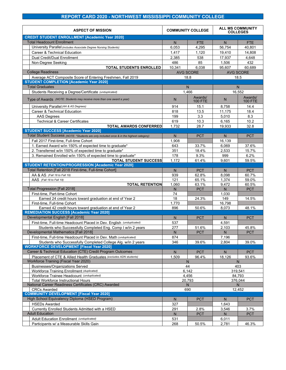### **REPORT CARD 2020 - NORTHWEST MISSISSIPPI COMMUNITY COLLEGE**

| <b>ASPECT OF MISSION</b>                                                                 | <b>COMMUNITY COLLEGE</b> |                  | <b>ALL MS COMMUNITY</b><br><b>COLLEGES</b> |                  |
|------------------------------------------------------------------------------------------|--------------------------|------------------|--------------------------------------------|------------------|
| <b>CREDIT STUDENT ENROLLMENT [Academic Year 2020]</b>                                    |                          |                  |                                            |                  |
| <b>Total Headcount Enrollment</b>                                                        | N                        | <b>FTE</b>       | N                                          | <b>FTE</b>       |
| University Parallel (includes Associate Degree Nursing Students)                         | 6,053                    | 4,295            | 56,754                                     | 40,801           |
| Career & Technical Education                                                             | 1,417                    | 1,120            | 19.410                                     | 14,808           |
| Dual Credit/Dual Enrollment                                                              | 2,385                    | 538              | 17,937                                     | 4,648            |
| Non-Degree Seeking                                                                       | 486                      | 85               | 1,506                                      | 432              |
| <b>TOTAL STUDENTS ENROLLED</b>                                                           | 10,341                   | 6,038            | 95,607                                     | 60,689           |
| <b>College Readiness</b>                                                                 |                          | <b>AVG SCORE</b> |                                            | <b>AVG SCORE</b> |
| Average ACT Composite Score of Entering Freshmen, Fall 2019                              |                          | 18.8             | 18.5                                       |                  |
| <b>STUDENT COMPLETION [Academic Year 2020]</b>                                           |                          |                  |                                            |                  |
| <b>Total Graduates</b>                                                                   |                          | N                |                                            | N                |
| Students Receiving a Degree/Certificate (unduplicated)                                   | 1.466                    |                  |                                            | 16.552           |
|                                                                                          |                          | Awards/          |                                            | Awards/          |
| Type of Awards (NOTE: Students may receive more than one award a year)                   | N                        | <b>100 FTE</b>   | N                                          | <b>100 FTE</b>   |
| University Parallel (AA & AS Degrees)                                                    | 914                      | 15.1             | 8,758                                      | 14.4             |
| <b>Career &amp; Technical Education</b>                                                  | 818                      | 13.5             | 11,175                                     | 18.4             |
| <b>AAS Degrees</b>                                                                       | 199                      | 3.3              | 5.010                                      | 8.3              |
| <b>Technical &amp; Career Certificates</b>                                               | 619                      | 10.3             | 6.165                                      | 10.2             |
| <b>TOTAL AWARDS CONFERRED</b>                                                            | 1,732                    | 28.7             | 19.933                                     | 32.8             |
| <b>STUDENT SUCCESS [Academic Year 2020]</b>                                              |                          |                  |                                            |                  |
| Total Student Success (NOTE: *Students are only included once & in the highest category) | N                        | <b>PCT</b>       | N                                          | <b>PCT</b>       |
| Fall 2017 First-time, Full-time Cohort                                                   | 1,908                    |                  | 16,139                                     |                  |
| 1. Earned Award w/in 150% of expected time to graduate*                                  | 643                      | 33.7%            | 6.069                                      | 37.6%            |
| 2. Transferred w/in 150% of expected time to graduate*                                   | 351                      | 18.4%            | 2,533                                      | 15.7%            |
| 3. Remained Enrolled w/in 150% of expected time to graduate*                             | 178                      | 9.3%             | 999                                        | 6.2%             |
| <b>TOTAL STUDENT SUCCESS</b>                                                             | 1,172                    | 61.4%            | 9,601                                      | 59.5%            |
| <b>STUDENT RETENTION/PROGRESSION [Academic Year 2020]</b>                                |                          |                  |                                            |                  |
| Total Retention [Fall 2018 First-time, Full-time Cohort]                                 | N                        | <b>PCT</b>       | N                                          | <b>PCT</b>       |
| AA & AS (Fall 18 to Fall 19)                                                             | 939                      | 62.8%            | 8.098                                      | 60.7%            |
| AAS (Fall 18 to Fall 19)                                                                 | 121                      | 65.1%            | 1,374                                      | 59.0%            |
| <b>TOTAL RETENTION</b>                                                                   | 1,060                    | 63.1%            | 9,472                                      | 60.5%            |
| <b>Total Progression [Fall 2018]</b>                                                     | N.                       | <b>PCT</b>       | N.                                         | <b>PCT</b>       |
| First-time, Part-time Cohort                                                             | 74                       |                  | 1,030                                      |                  |
| Earned 24 credit hours toward graduation at end of Year 2                                | 18                       | 24.3%            | 149                                        | 14.5%            |
| First-time, Full-time Cohort                                                             | 1,770                    |                  | 16,798                                     |                  |
| Earned 42 credit hours toward graduation at end of Year 2                                | 896                      | 50.6%            | 8,073                                      | 48.1%            |
| <b>REMEDIATION SUCCESS [Academic Year 2020]</b>                                          |                          |                  |                                            |                  |
| Developmental English [Fall 2018]                                                        | N                        | <b>PCT</b>       | N                                          | <b>PCT</b>       |
| First-time, Full-time Headcount Placed in Dev. English (unduplicated)                    | 537                      |                  | 4,591                                      |                  |
| Students who Successfully Completed Eng. Comp I w/in 2 years                             | 277                      | 51.6%            | 2,103                                      | 45.8%            |
| Developmental Mathematics [Fall 2018]                                                    | N                        | <b>PCT</b>       | N                                          | PCT              |
| First-time, Full-time Headcount Placed in Dev. Math (unduplicated)                       | 874                      |                  | 7,196                                      |                  |
| Students who Successfully Completed College Alg. w/in 2 years                            | 346                      | 39.6%            | 2,804                                      | 39.0%            |
| <b>WORKFORCE DEVELOPMENT [Fiscal Year 2020]</b>                                          |                          |                  |                                            |                  |
| Career & Technical Education (CTE) Credit Program Outcomes                               | N                        | <b>PCT</b>       | N                                          | <b>PCT</b>       |
| Placement of CTE & Allied Health Graduates (excludes ADN students)                       | 1,509                    | 96.4%            | 18,126                                     | 93.6%            |
| Workforce Training (Fiscal Year 2020)                                                    |                          | $\overline{N}$   |                                            | $\mathsf{N}$     |
| Businesses/Organizations Served                                                          |                          | 44               | 403                                        |                  |
| Workforce Training Enrollment (duplicated)                                               | 6.142                    |                  | 319.541                                    |                  |
| Workforce Trainee Headcount (unduplicated)                                               | 4,456                    |                  | 84,793                                     |                  |
| <b>Total Workforce Instructional Hours</b>                                               |                          | 20,793           |                                            | 376,044          |
| National Career Readiness Certificates (CRC) Awarded                                     | N                        |                  | N                                          |                  |
| <b>CRCs Awarded</b>                                                                      | 690                      |                  | 12,452                                     |                  |
| <b>COMMUNITY DEVELOPMENT [Fiscal Year 2020]</b>                                          |                          |                  |                                            |                  |
| High School Equivalency Diploma (HSED Program)                                           | N                        | <b>PCT</b>       | N                                          | <b>PCT</b>       |
| <b>HSEDs Awarded</b>                                                                     | 327                      |                  | 1,643                                      |                  |
| Currently Enrolled Students Admitted with a HSED                                         | 291                      | 2.8%             | 3,546                                      | 3.7%             |
| <b>Adult Education</b>                                                                   | N                        | <b>PCT</b>       | N                                          | PCT              |
| Adult Education Enrollment (unduplicated)                                                | 531                      |                  | 6,011                                      |                  |
| Participants w/ a Measurable Skills Gain                                                 | 268                      | 50.5%            | 2,781                                      | 46.3%            |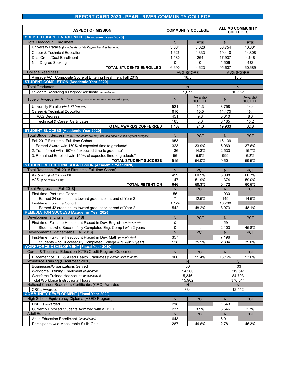### **REPORT CARD 2020 - PEARL RIVER COMMUNITY COLLEGE**

| <b>ASPECT OF MISSION</b>                                                                 | <b>COMMUNITY COLLEGE</b> |                  | <b>ALL MS COMMUNITY</b><br><b>COLLEGES</b> |                |
|------------------------------------------------------------------------------------------|--------------------------|------------------|--------------------------------------------|----------------|
| <b>CREDIT STUDENT ENROLLMENT [Academic Year 2020]</b>                                    |                          |                  |                                            |                |
| <b>Total Headcount Enrollment</b>                                                        | N                        | FTE              | N                                          | <b>FTE</b>     |
| University Parallel (includes Associate Degree Nursing Students)                         | 3,884                    | 3,026            | 56,754                                     | 40,801         |
| Career & Technical Education                                                             | 1,626                    | 1,333            | 19.410                                     | 14,808         |
| Dual Credit/Dual Enrollment                                                              | 1.180                    | 264              | 17,937                                     | 4,648          |
| Non-Degree Seeking                                                                       | 0                        | $\Omega$         | 1,506                                      | 432            |
| <b>TOTAL STUDENTS ENROLLED</b>                                                           | 6,690                    | 4,623            | 95,607                                     | 60,689         |
| <b>College Readiness</b>                                                                 |                          | <b>AVG SCORE</b> | <b>AVG SCORE</b>                           |                |
| Average ACT Composite Score of Entering Freshmen, Fall 2019                              |                          | 18.5             | 18.5                                       |                |
| <b>STUDENT COMPLETION [Academic Year 2020]</b>                                           |                          |                  |                                            |                |
| <b>Total Graduates</b>                                                                   |                          | N.               | N.                                         |                |
| Students Receiving a Degree/Certificate (unduplicated)                                   |                          | 1,077            | 16,552                                     |                |
|                                                                                          |                          | Awards/          |                                            | Awards/        |
| Type of Awards (NOTE: Students may receive more than one award a year)                   | N                        | <b>100 FTE</b>   | N                                          | <b>100 FTE</b> |
| University Parallel (AA & AS Degrees)                                                    | 521                      | 11.3             | 8,758                                      | 14.4           |
| Career & Technical Education                                                             | 616                      | 13.3             | 11,175                                     | 18.4           |
| <b>AAS Degrees</b>                                                                       | 451                      | 9.8              | 5,010                                      | 8.3            |
| <b>Technical &amp; Career Certificates</b>                                               | 165                      | 3.6              | 6,165                                      | 10.2           |
| <b>TOTAL AWARDS CONFERRED</b>                                                            | 1,137                    | 24.6             | 19.933                                     | 32.8           |
| <b>STUDENT SUCCESS [Academic Year 2020]</b>                                              |                          |                  |                                            |                |
| Total Student Success (NOTE: *Students are only included once & in the highest category) | N                        | <b>PCT</b>       | N.                                         | <b>PCT</b>     |
| Fall 2017 First-time, Full-time Cohort                                                   | 953                      |                  | 16.139                                     |                |
| 1. Earned Award w/in 150% of expected time to graduate*                                  | 323                      | 33.9%            | 6,069                                      | 37.6%          |
| 2. Transferred w/in 150% of expected time to graduate*                                   | 136                      | 14.3%            | 2,533                                      | 15.7%          |
| 3. Remained Enrolled w/in 150% of expected time to graduate*                             | 56                       | 5.9%             | 999                                        | 6.2%           |
| <b>TOTAL STUDENT SUCCESS</b>                                                             | 515                      | 54.0%            | 9,601                                      | 59.5%          |
| <b>STUDENT RETENTION/PROGRESSION [Academic Year 2020]</b>                                |                          |                  |                                            |                |
| Total Retention [Fall 2018 First-time, Full-time Cohort]                                 | N                        | <b>PCT</b>       | N                                          | <b>PCT</b>     |
| AA & AS (Fall 18 to Fall 19)                                                             | 499                      | 60.5%            | 8.098                                      | 60.7%          |
| AAS (Fall 18 to Fall 19)                                                                 | 147                      | 51.9%            | 1,374                                      | 59.0%          |
| <b>TOTAL RETENTION</b>                                                                   | 646                      | 58.3%            | 9,472                                      | 60.5%          |
| <b>Total Progression [Fall 2018]</b>                                                     | N                        | <b>PCT</b>       | N.                                         | <b>PCT</b>     |
| First-time, Part-time Cohort                                                             | 56                       |                  | 1,030                                      |                |
| Earned 24 credit hours toward graduation at end of Year 2                                | $\overline{7}$           | 12.5%            | 149                                        | 14.5%          |
| First-time, Full-time Cohort                                                             | 1,124                    |                  | 16,798                                     |                |
| Earned 42 credit hours toward graduation at end of Year 2                                | 542                      | 48.2%            | 8,073                                      | 48.1%          |
| <b>REMEDIATION SUCCESS [Academic Year 2020]</b>                                          |                          |                  |                                            |                |
| Developmental English [Fall 2018]                                                        | N                        | <b>PCT</b>       | N.                                         | <b>PCT</b>     |
| First-time, Full-time Headcount Placed in Dev. English (unduplicated)                    | 0                        |                  | 4,591                                      |                |
| Students who Successfully Completed Eng. Comp I w/in 2 years                             | $\Omega$                 |                  | 2,103                                      | 45.8%          |
| Developmental Mathematics [Fall 2018]                                                    | N                        | <b>PCT</b>       | N.                                         | PCT            |
| First-time, Full-time Headcount Placed in Dev. Math (unduplicated)                       | 357                      |                  | 7,196                                      |                |
| Students who Successfully Completed College Alg. w/in 2 years                            | 128                      | 35.9%            | 2,804                                      | 39.0%          |
| <b>WORKFORCE DEVELOPMENT [Fiscal Year 2020]</b>                                          |                          |                  |                                            |                |
| Career & Technical Education (CTE) Credit Program Outcomes                               | N                        | <b>PCT</b>       | N                                          | <b>PCT</b>     |
| Placement of CTE & Allied Health Graduates (excludes ADN students)                       | 960                      | 91.4%            | 18,126                                     | 93.6%          |
| Workforce Training (Fiscal Year 2020)                                                    |                          | N                |                                            | N              |
| <b>Businesses/Organizations Served</b>                                                   | 30                       |                  | 403                                        |                |
| Workforce Training Enrollment (duplicated)                                               | 14,260                   |                  | 319,541                                    |                |
| Workforce Trainee Headcount (unduplicated)                                               | 5,346                    |                  | 84,793                                     |                |
| <b>Total Workforce Instructional Hours</b>                                               | 15,902                   |                  | 376,044                                    |                |
| National Career Readiness Certificates (CRC) Awarded                                     | N                        |                  |                                            | N              |
| <b>CRCs Awarded</b>                                                                      | 834                      |                  | 12,452                                     |                |
| <b>COMMUNITY DEVELOPMENT [Fiscal Year 2020]</b>                                          |                          |                  |                                            |                |
| High School Equivalency Diploma (HSED Program)                                           | N                        | <b>PCT</b>       | N                                          | <b>PCT</b>     |
| <b>HSEDs Awarded</b>                                                                     | 218                      |                  | 1,643                                      |                |
| Currently Enrolled Students Admitted with a HSED                                         | 237                      | 3.5%             | 3,546                                      | 3.7%           |
| <b>Adult Education</b>                                                                   | $\mathsf{N}$             | <b>PCT</b>       | N.                                         | <b>PCT</b>     |
| Adult Education Enrollment (unduplicated)                                                | 643                      |                  | 6,011                                      |                |
| Participants w/ a Measurable Skills Gain                                                 | 287                      | 44.6%            | 2,781                                      | 46.3%          |